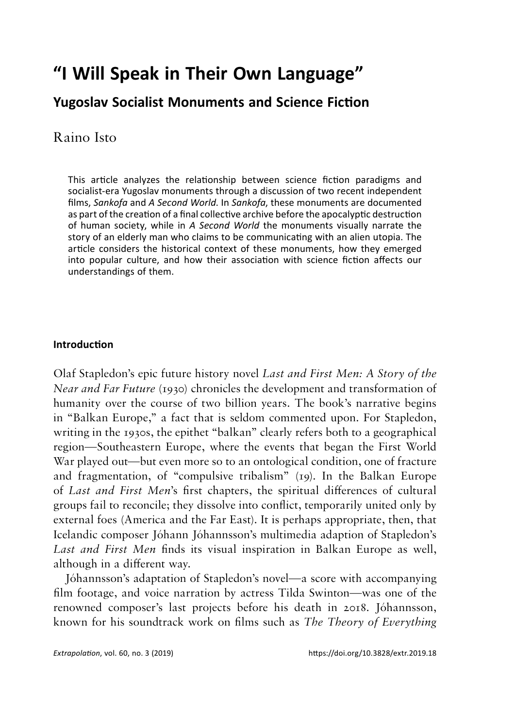# **"I Will Speak in Their Own Language"**

# **Yugoslav Socialist Monuments and Science Fiction**

# Raino Isto

This article analyzes the relationship between science fiction paradigms and socialist-era Yugoslav monuments through a discussion of two recent independent films, *Sankofa* and *A Second World*. In *Sankofa*, these monuments are documented as part of the creation of a final collective archive before the apocalyptic destruction of human society, while in *A Second World* the monuments visually narrate the story of an elderly man who claims to be communicating with an alien utopia. The article considers the historical context of these monuments, how they emerged into popular culture, and how their association with science fiction affects our understandings of them.

#### **Introduction Introduction**

Olaf Stapledon's epic future history novel *Last and First Men:* A *Story of the Near and Far Future* (1930) chronicles the development and transformation of humanity over the course of two billion years. The book's narrative begins in "Balkan Europe," <sup>a</sup> fact that is seldom commented upon. For Stapledon, writing in the 1930s, the epithet "balkan" clearly refers both to <sup>a</sup> geographical region—Southeastern Europe, where the events that began the First World War played out—but even more so to an ontological condition, one of fracture and fragmentation, of "compulsive tribalism" (19). In the Balkan Europe of *Last and First Men's* first chapters, the spiritual differences of cultural of *Last and First Men*'s first chapters, the spiritual differences of cultural groups fail to reconcile; they dissolve into conflict, temporarily united only by external foes (America and the Far East). It is perhaps appropriate, then, that Icelandic composer Johann Johannsson's multimedia adaption of Stapledon's *Last and First Men* finds its visual inspiration in Balkan Europe as well, *Last and First Men* finds its visual inspiration in Balkan Europe as well, although in a different way. although in a different way. Olaf Stapledon's epic future history novel *Last and First Men: A Story of the*<br>*Near and Far Future* (1930) chronicles the development and transformation of<br>humanity over the course of two billion years. The book's narrat region—Southeastern Europe, where the events that began the First World War played out—but even more so to an ontological condition, one of fracture and fragmentation, of "compulsive tribalism" (19). In the Balkan Europe groups fail to reconcile; they dissolve into conflict, temporarily united only by<br>external foes (America and the Far East). It is perhaps appropriate, then, that<br>Icelandic composer Jóhann Jóhannsson's multimedia adaption o

Johannsson's adaptation of Stapledon's novel—a score with accompanying Jóhannsson's adaptation of Stapledon's novel—a score with accompanying film footage, and voice narration by actress Tilda Swinton—was one of the renowned composer's last projects before his death in 2018. Jóhannsson, renowned composer's last projects before his death in 2018. Johannsson, known for his soundtrack work on films such as *The Theory of Everything* known for his soundtrack work on films such as *The Theory of Everything*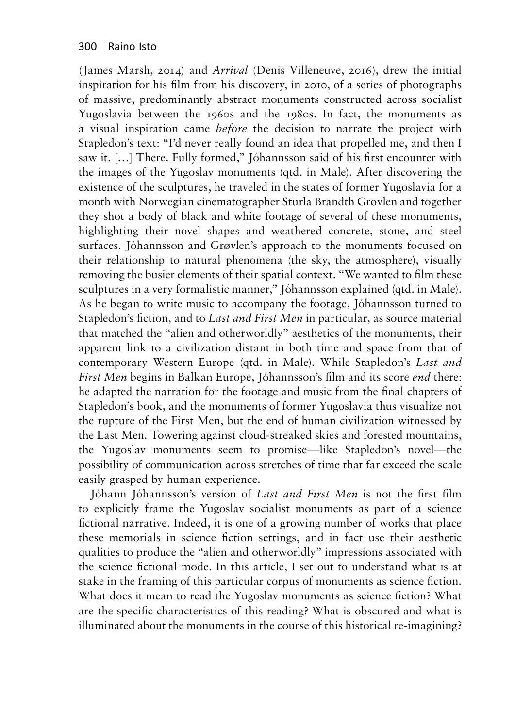(James Marsh, 2014) and *Arrival* (Denis Villeneuve, 2016), drew the initial (James Marsh, 2014) and *Arrival* (Denis Villeneuve, 2016), drew the initial inspiration for his film from his discovery, in 2010, of a series of photographs inspiration for his film from his discovery, in 2010, of a series of photographs of massive, predominantly abstract monuments constructed across socialist of massive, predominantly abstract monuments constructed across socialist Yugoslavia between the 1960s and the 1980s. In fact, the monuments as Yugoslavia between the 1960s and the 1980s. In fact, the monuments as a visual inspiration came *before* the decision to narrate the project with a visual inspiration came *before* the decision to narrate the project with Stapledon's text: "I'd never really found an idea that propelled me, and then <sup>I</sup> Stapledon's text: "I'd never really found an idea that propelled me, and then I<br>saw it. […] There. Fully formed," Jóhannsson said of his first encounter with the images of the Yugoslav monuments (qtd. in Male). After discovering the the images of the Yugoslav monuments (qtd. in Male). After discovering the existence of the sculptures, he traveled in the states of former Yugoslavia for <sup>a</sup> existence of the sculptures, he traveled in the states of former Yugoslavia for a month with Norwegian cinematographer Sturla Brandth Grovlen and together month with Norwegian cinematographer Sturla Brandth Grøvlen and together they shot a body of black and white footage of several of these monuments, they shot a body of black and white footage of several of these monuments, highlighting their novel shapes and weathered concrete, stone, and steel highlighting their novel shapes and weathered concrete, stone, and steel<br>surfaces. Jóhannsson and Grøvlen's approach to the monuments focused on their relationship to natural phenomena (the sky, the atmosphere), visually their relationship to natural phenomena (the sky, the atmosphere), visually removing the busier elements of their spatial context. "We wanted to film these removing the busier elements of their spatial context. "We wanted to film these<br>sculptures in a very formalistic manner," Jóhannsson explained (qtd. in Male). As he began to write music to accompany the footage, Johannsson turned to As he began to write music to accompany the footage, Jóhannsson turned to Stapledon's fiction, and to *Last and First Men* in particular, as source material Stapledon's fiction, and to *Last and First Men* in particular, as source material that matched the "alien and otherworldly" aesthetics of the monuments, their that matched the "alien and otherworldly" aesthetics of the monuments, their<br>apparent link to a civilization distant in both time and space from that of contemporary Western Europe (qtd. in Male). While Stapledon's *Last and*<br>First Men begins in Balkan Europe, Jóhannsson's film and its score end there: *First Men* begins in Balkan Europe, Johannsson's film and its score *end* there: he adapted the narration for the footage and music from the final chapters of Stapledon's book, and the monuments of former Yugoslavia thus visualize not<br>the rupture of the First Men, but the end of human civilization witnessed by<br>the Last Men. Towering against cloud-streaked skies and forested moun the rupture of the First Men, but the end of human civilization witnessed by the Last Men. Towering against cloud-streaked skies and forested mountains, the Yugoslav monuments seem to promise—like Stapledon's novel—the the Yugoslav monuments seem to promise—like Stapledon's novel—the<br>possibility of communication across stretches of time that far exceed the scale easily grasped by human experience. easily grasped by human experience.

Johann Johannsson's version of *Last and First Men* is not the first film Jóhann Jóhannsson's version of *Last and First Men* is not the first film to explicitly frame the Yugoslav socialist monuments as part of a science to explicitly frame the Yugoslav socialist monuments as part of a science fictional narrative. Indeed, it is one of <sup>a</sup> growing number of works that place fictional narrative. Indeed, it is one of a growing number of works that place these memorials in science fiction settings, and in fact use their aesthetic<br>qualities to produce the "alien and otherworldly" impressions associated with qualities to produce the "alien and otherworldly" impressions associated with the science fictional mode. In this article, I set out to understand what is at the science fictional mode. In this article, I set out to understand what is at<br>stake in the framing of this particular corpus of monuments as science fiction. What does it mean to read the Yugoslav monuments as science fiction? What What does it mean to read the Yugoslav monuments as science fiction? What are the specific characteristics of this reading? What is obscured and what is illuminated about the monuments in the course of this historical re-imagining? illuminated about the monuments in the course of this historical re-imagining?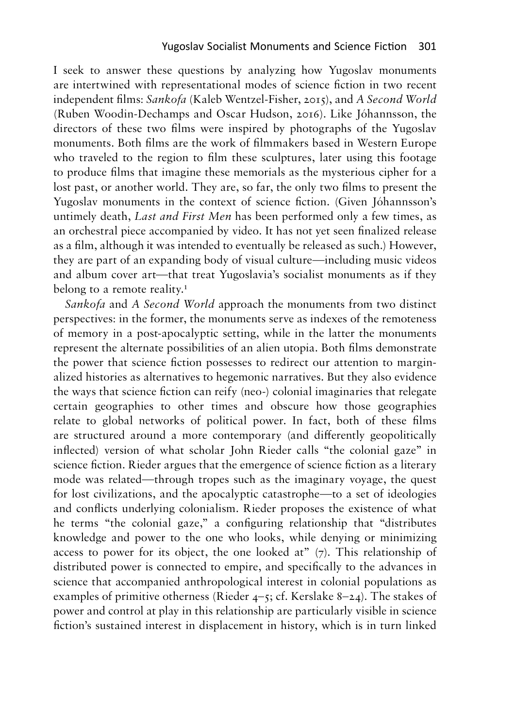I seek to answer these questions by analyzing how Yugoslav monuments I seek to answer these questions by analyzing how Yugoslav monuments are intertwined with representational modes of science fiction in two recent are intertwined with representational modes of science fiction in two recent independent films: *Sankofa* (Kaleb Wentzel-Fisher, 2015), and A *Second World* independent films: *Sankofa* (Kaleb Wentzel-Fisher, 2015), and *A Second World* (Ruben Woodin-Dechamps and Oscar Hudson, 2016). Like Johannsson, the (Ruben Woodin-Dechamps and Oscar Hudson, 2016). Like Jóhannsson, the directors of these two films were inspired by photographs of the Yugoslav monuments. Both films are the work of filmmakers based in Western Europe monuments. Both films are the work of filmmakers based in Western Europe who traveled to the region to film these sculptures, later using this footage who traveled to the region to film these sculptures, later using this footage to produce films that imagine these memorials as the mysterious cipher for <sup>a</sup> to produce films that imagine these memorials as the mysterious cipher for a lost past, or another world. They are, so far, the only two films to present the lost past, or another world. They are, so far, the only two films to present the<br>Yugoslav monuments in the context of science fiction. (Given Jóhannsson's untimely death, *Last and First Men* has been performed only a few times, as untimely death, *Last and First Men* has been performed only a few times, as an orchestral piece accompanied by video. It has not yet seen finalized release an orchestral piece accompanied by video. It has not yet seen finalized release as <sup>a</sup> film, although it was intended to eventually be released as such.) However, as a film, although it was intended to eventually be released as such.) However, they are part of an expanding body of visual culture—including music videos they are part of an expanding body of visual culture—including music videos and album cover art—that treat Yugoslavia's socialist monuments as if they and album cover art—that treat Yugoslavia's socialist monuments as if they belong to a remote reality.1 belong to a remote reality.**<sup>1</sup>**

*Sankofa* and A *Second World* approach the monuments from two distinct *Sankofa* and *A Second World* approach the monuments from two distinct perspectives: in the former, the monuments serve as indexes of the remoteness perspectives: in the former, the monuments serve as indexes of the remoteness<br>of memory in a post-apocalyptic setting, while in the latter the monuments represent the alternate possibilities of an alien utopia. Both films demonstrate represent the alternate possibilities of an alien utopia. Both films demonstrate the power that science fiction possesses to redirect our attention to margin-the power that science fiction possesses to redirect our attention to marginalized histories as alternatives to hegemonic narratives. But they also evidence alized histories as alternatives to hegemonic narratives. But they also evidence the ways that science fiction can reify (neo-) colonial imaginaries that relegate the ways that science fiction can reify (neo-) colonial imaginaries that relegate certain geographies to other times and obscure how those geographies relate to global networks of political power. In fact, both of these films certain geographies to other times and obscure how those geographies relate to global networks of political power. In fact, both of these films are structured around a more contemporary (and differently geopolitically are structured around a more contemporary (and differently geopolitically inflected) version of what scholar John Rieder calls "the colonial gaze" in inflected) version of what scholar John Rieder calls "the colonial gaze" in science fiction. Rieder argues that the emergence of science fiction as a literary science fiction. Rieder argues that the emergence of science fiction as a literary mode was related—through tropes such as the imaginary voyage, the quest mode was related—through tropes such as the imaginary voyage, the quest for lost civilizations, and the apocalyptic catastrophe—to a set of ideologies for lost civilizations, and the apocalyptic catastrophe—to a set of ideologies<br>and conflicts underlying colonialism. Rieder proposes the existence of what he terms "the colonial gaze," <sup>a</sup> configuring relationship that "distributes he terms "the colonial gaze," a configuring relationship that "distributes knowledge and power to the one who looks, while denying or minimizing access to power for its object, the one looked at" (7). This relationship of knowledge and power to the one who looks, while denying or minimizing access to power for its object, the one looked at" (7). This relationship of distributed power is connected to empire, and specifically to the advances in distributed power is connected to empire, and specifically to the advances in science that accompanied anthropological interest in colonial populations as science that accompanied anthropological interest in colonial populations as examples of primitive otherness (Rieder  $4-\frac{2}{5}$ ; cf. Kerslake 8-24). The stakes of examples of primitive otherness (Rieder  $4-5$ ; cf. Kerslake 8–24). The stakes of power and control at play in this relationship are particularly visible in science fiction's sustained interest in displacement in history, which is in turn linked fiction's sustained interest in displacement in history, which is in turn linked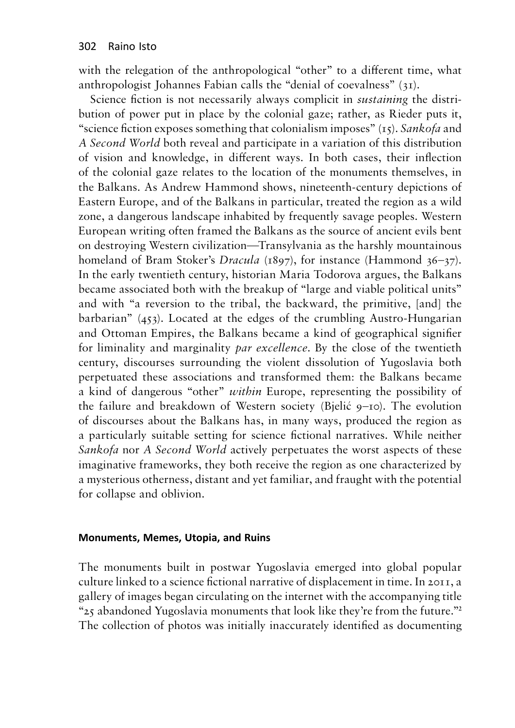with the relegation of the anthropological "other" to a different time, what anthropologist Johannes Fabian calls the "denial of coevalness" (31).

Science fiction is not necessarily always complicit in *sustaining* the distribution of power put in place by the colonial gaze; rather, as Rieder puts it, "science fiction exposes something that colonialism imposes" (15). *Sankofa* and *A Second World* both reveal and participate in a variation of this distribution of vision and knowledge, in different ways. In both cases, their inflection of the colonial gaze relates to the location of the monuments themselves, in the Balkans. As Andrew Hammond shows, nineteenth-century depictions of Eastern Europe, and of the Balkans in particular, treated the region as a wild zone, a dangerous landscape inhabited by frequently savage peoples. Western European writing often framed the Balkans as the source of ancient evils bent on destroying Western civilization—Transylvania as the harshly mountainous homeland of Bram Stoker's *Dracula* (1897), for instance (Hammond 36–37). In the early twentieth century, historian Maria Todorova argues, the Balkans became associated both with the breakup of "large and viable political units" and with "a reversion to the tribal, the backward, the primitive, [and] the barbarian" (453). Located at the edges of the crumbling Austro-Hungarian and Ottoman Empires, the Balkans became a kind of geographical signifier for liminality and marginality *par excellence*. By the close of the twentieth century, discourses surrounding the violent dissolution of Yugoslavia both perpetuated these associations and transformed them: the Balkans became a kind of dangerous "other" *within* Europe, representing the possibility of the failure and breakdown of Western society (Bjelić 9–10). The evolution of discourses about the Balkans has, in many ways, produced the region as a particularly suitable setting for science fictional narratives. While neither *Sankofa* nor *A Second World* actively perpetuates the worst aspects of these imaginative frameworks, they both receive the region as one characterized by a mysterious otherness, distant and yet familiar, and fraught with the potential for collapse and oblivion.

#### **Monuments, Memes, Utopia, and Ruins**

The monuments built in postwar Yugoslavia emerged into global popular culture linked to a science fictional narrative of displacement in time. In 2011, a gallery of images began circulating on the internet with the accompanying title "25 abandoned Yugoslavia monuments that look like they're from the future."**<sup>2</sup>** The collection of photos was initially inaccurately identified as documenting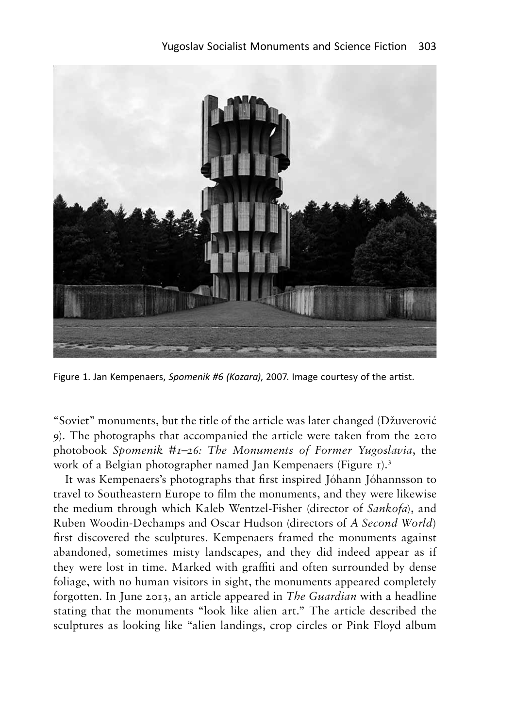

Figure 1. Jan Kempenaers, *Spomenik #6 (Kozara),* 2007. Image courtesy of the artist.

"Soviet" monuments, but the title of the article was later changed (Džuverović 9). The photographs that accompanied the article were taken from the 2010 9). The photographs that accompanied the article were taken from the 2010 photobook *Spomenik* #1–26: *The Monuments of Former Yugoslavia*, the work of a Belgian photographer named Jan Kempenaers (Figure 1).<sup>3</sup> work of a Belgian photographer named Jan Kempenaers (Figure 1).<sup>3</sup>

It was Kempenaers's photographs that first inspired Johann Johannsson to It was Kempenaers's photographs that first inspired Jóhann Jóhannsson to travel to Southeastern Europe to film the monuments, and they were likewise the medium through which Kaleb Wentzel-Fisher (director of *Sankofa),* and travel to Southeastern Europe to film the monuments, and they were likewise<br>the medium through which Kaleb Wentzel-Fisher (director of *Sankofa*), and<br>Ruben Woodin-Dechamps and Oscar Hudson (directors of *A Second World*) first discovered the sculptures. Kempenaers framed the monuments against abandoned, sometimes misty landscapes, and they did indeed appear as if first discovered the sculptures. Kempenaers framed the monuments against abandoned, sometimes misty landscapes, and they did indeed appear as if they were lost in time. Marked with graffiti and often surrounded by dense they were lost in time. Marked with graffiti and often surrounded by dense foliage, with no human visitors in sight, the monuments appeared completely foliage, with no human visitors in sight, the monuments appeared completely forgotten. In June 2013, an article appeared in *The Guardian* with <sup>a</sup> headline forgotten. In June 2013, an article appeared in *The Guardian* with a headline stating that the monuments "look like alien art." The article described the stating that the monuments "look like alien art." The article described the sculptures as looking like "alien landings, crop circles or Pink Floyd album Figure 1. Jan Kempenaers, *Spomenik #6 (Kozara), 2007.* Image courtesy of the artist.<br>
"Soviet" monuments, but the title of the article was later changed (Džuverović<br>
9). The photographs that accompanied the article were t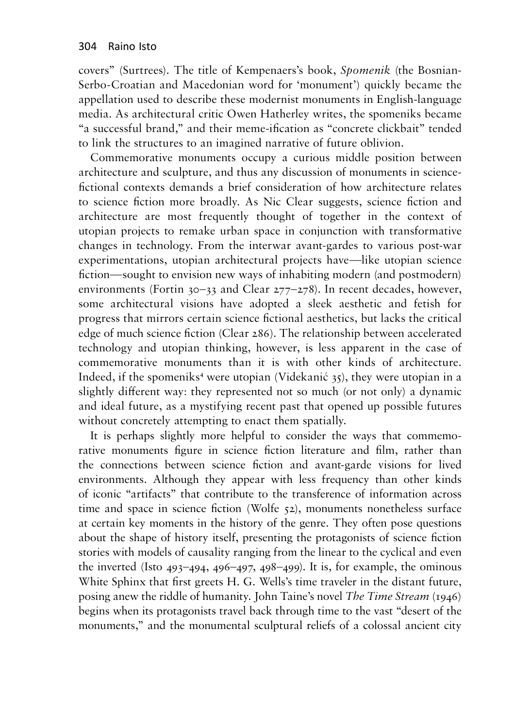covers" (Surtrees). The title of Kempenaers's book, *Spomenik* (the Bosnian-covers" (Surtrees). The title of Kempenaers's book, *Spomenik* (the Bosnian-Serbo-Croatian and Macedonian word for 'monument') quickly became the Serbo-Croatian and Macedonian word for 'monument') quickly became the appellation used to describe these modernist monuments in English-language media. As architectural critic Owen Hatherley writes, the spomeniks became media. As architectural critic Owen Hatherley writes, the spomeniks became "a successful brand," and their meme-ification as "concrete clickbait" tended "a successful brand," and their meme-ification as "concrete clickbait" tended to link the structures to an imagined narrative of future oblivion. to link the structures to an imagined narrative of future oblivion.

Commemorative monuments occupy a curious middle position between Commemorative monuments occupy a curious middle position between architecture and sculpture, and thus any discussion of monuments in science-architecture and sculpture, and thus any discussion of monuments in sciencefictional contexts demands a brief consideration of how architecture relates fictional contexts demands a brief consideration of how architecture relates<br>to science fiction more broadly. As Nic Clear suggests, science fiction and architecture are most frequently thought of together in the context of architecture are most frequently thought of together in the context of utopian projects to remake urban space in conjunction with transformative changes in technology. From the interwar avant-gardes to various post-war utopian projects to remake urban space in conjunction with transformative changes in technology. From the interwar avant-gardes to various post-war experimentations, utopian architectural projects have—like utopian science experimentations, utopian architectural projects have—like utopian science fiction—sought to envision new ways of inhabiting modern (and postmodern) fiction—sought to envision new ways of inhabiting modern (and postmodern) environments (Fortin 30-33 and Clear 277-278). In recent decades, however, environments (Fortin 30–33 and Clear 277–278). In recent decades, however, some architectural visions have adopted a sleek aesthetic and fetish for some architectural visions have adopted a sleek aesthetic and fetish for progress that mirrors certain science fictional aesthetics, but lacks the critical edge of much science fiction (Clear 286). The relationship between accelerated progress that mirrors certain science fictional aesthetics, but lacks the critical<br>edge of much science fiction (Clear 286). The relationship between accelerated<br>technology and utopian thinking, however, is less apparent i commemorative monuments than it is with other kinds of architecture. commemorative monuments than it is with other kinds of architecture. Indeed, if the spomeniks<sup>4</sup> were utopian (Videkanić 35), they were utopian in a slightly different way: they represented not so much (or not only) a dynamic slightly different way: they represented not so much (or not only) a dynamic and ideal future, as a mystifying recent past that opened up possible futures and ideal future, as a mystifying recent past that opened up possible futures without concretely attempting to enact them spatially. without concretely attempting to enact them spatially.

It is perhaps slightly more helpful to consider the ways that commemo-It is perhaps slightly more helpful to consider the ways that commemorative monuments figure in science fiction literature and film, rather than rative monuments figure in science fiction literature and film, rather than the connections between science fiction and avant-garde visions for lived environments. Although they appear with less frequency than other kinds environments. Although they appear with less frequency than other kinds of iconic "artifacts" that contribute to the transference of information across of iconic "artifacts" that contribute to the transference of information across<br>time and space in science fiction (Wolfe 52), monuments nonetheless surface at certain key moments in the history of the genre. They often pose questions at certain key moments in the history of the genre. They often pose questions<br>about the shape of history itself, presenting the protagonists of science fiction stories with models of causality ranging from the linear to the cyclical and even stories with models of causality ranging from the linear to the cyclical and even the inverted (Isto  $493-494$ ,  $496-497$ ,  $498-499$ ). It is, for example, the ominous White Sphinx that first greets H. G. Wells's time traveler in the distant future, White Sphinx that first greets H. G. Wells's time traveler in the distant future, posing anew the riddle of humanity. John Taine's novel *The Time Stream* (1946) posing anew the riddle of humanity. John Taine's novel *The Time Stream* (1946) begins when its protagonists travel back through time to the vast "desert of the begins when its protagonists travel back through time to the vast "desert of the monuments," and the monumental sculptural reliefs of a colossal ancient city monuments," and the monumental sculptural reliefs of a colossal ancient city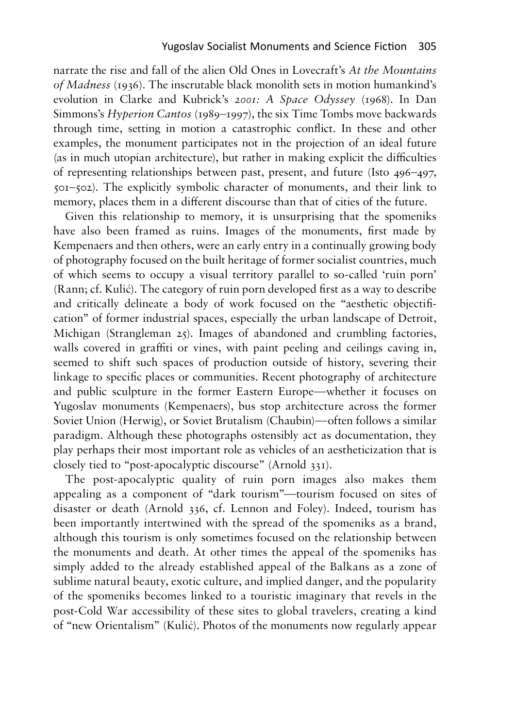narrate the rise and fall of the alien Old Ones in Lovecraft's *At the Mountains* narrate the rise and fall of the alien Old Ones in Lovecraft's *At the Mountains ofMadness* (1936). The inscrutable black monolith sets in motion humankind's *of Madness* (1936)*.* The inscrutable black monolith sets in motion humankind's evolution in Clarke and Kubrick's *2001:* A *Space Odyssey* (1968). In Dan evolution in Clarke and Kubrick's *2001: A Space Odyssey* (1968)*.* In Dan Simmons's *Hyperion Cantos* (1989-1997), the six Time Tombs move backwards Simmons's *Hyperion Cantos* (1989–1997), the six Time Tombs move backwards through time, setting in motion a catastrophic conflict. In these and other through time, setting in motion a catastrophic conflict. In these and other examples, the monument participates not in the projection of an ideal future examples, the monument participates not in the projection of an ideal future<br>(as in much utopian architecture), but rather in making explicit the difficulties of representing relationships between past, present, and future (Isto 496-497, of representing relationships between past, present, and future (Isto 496–497, 501-502). The explicitly symbolic character of monuments, and their link to 501–502). The explicitly symbolic character of monuments, and their link to memory, places them in a different discourse than that of cities of the future.

Given this relationship to memory, it is unsurprising that the spomeniks have also been framed as ruins. Images of the monuments, first made by Kempenaers and then others, were an early entry in a continually growing body of photography focused on the built heritage of former socialist countries, much of photography focused on the built heritage of former socialist countries, much of which seems to occupy a visual territory parallel to so-called 'ruin porn' of which seems to occupy a visual territory parallel to so-called 'ruin porn'<br>(Rann; cf. Kulić). The category of ruin porn developed first as a way to describe and critically delineate <sup>a</sup> body of work focused on the "aesthetic objectifi-and critically delineate a body of work focused on the "aesthetic objectification" of former industrial spaces, especially the urban landscape of Detroit, cation" of former industrial spaces, especially the urban landscape of Detroit, Michigan (Strangleman 25). Images of abandoned and crumbling factories, Michigan (Strangleman 25). Images of abandoned and crumbling factories, walls covered in graffiti or vines, with paint peeling and ceilings caving in, seemed to shift such spaces of production outside of history, severing their seemed to shift such spaces of production outside of history, severing their<br>linkage to specific places or communities. Recent photography of architecture and public sculpture in the former Eastern Europe—whether it focuses on and public sculpture in the former Eastern Europe—whether it focuses on Yugoslav monuments (Kempenaers), bus stop architecture across the former<br>Soviet Union (Herwig), or Soviet Brutalism (Chaubin)—often follows a similar<br>paradigm. Although these photographs ostensibly act as documentation, th Soviet Union (Herwig), or Soviet Brutalism (Chaubin)—often follows <sup>a</sup> similar paradigm. Although these photographs ostensibly act as documentation, they play perhaps their most important role as vehicles of an aestheticization that is play perhaps their most important role as vehicles of an aestheticization that is closely tied to "post-apocalyptic discourse" (Arnold 331). closely tied to "post-apocalyptic discourse" (Arnold 331). Given this relationship to memory, it is unsurprising that the spomeniks have also been framed as ruins. Images of the monuments, first made by Kempenaers and then others, were an early entry in a continually growing body

The post-apocalyptic quality of ruin porn images also makes them The post-apocalyptic quality of ruin porn images also makes them appealing as <sup>a</sup> component of "dark tourism"—tourism focused on sites of disaster or death (Arnold 336, cf. Lennon and Foley). Indeed, tourism has appealing as a component of "dark tourism"—tourism focused on sites of disaster or death (Arnold 336, cf. Lennon and Foley). Indeed, tourism has been importantly intertwined with the spread of the spomeniks as a brand, although this tourism is only sometimes focused on the relationship between<br>the monuments and death. At other times the appeal of the spomeniks has<br>simply added to the already established appeal of the Balkans as a zone of the monuments and death. At other times the appeal of the spomeniks has simply added to the already established appeal of the Balkans as a zone of sublime natural beauty, exotic culture, and implied danger, and the popularity of the spomeniks becomes linked to a touristic imaginary that revels in the of the spomeniks becomes linked to a touristic imaginary that revels in the<br>post-Cold War accessibility of these sites to global travelers, creating a kind of "new Orientalism" (Kulic). Photos of the monuments now regularly appear of "new Orientalism" (Kulić). Photos of the monuments now regularly appear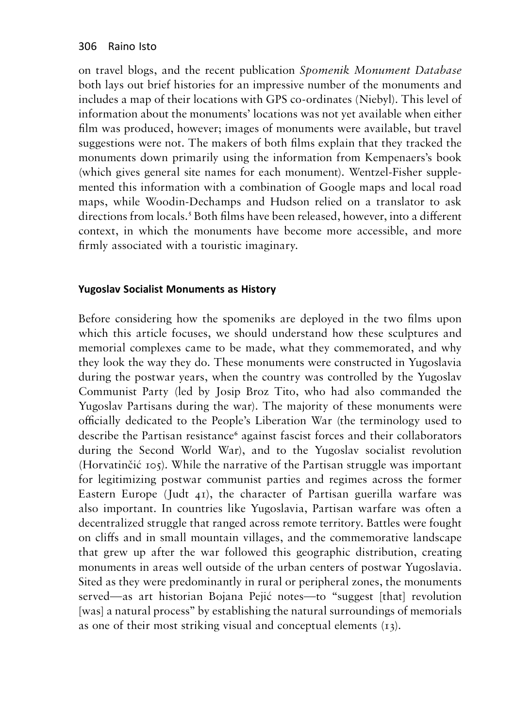on travel blogs, and the recent publication *Spomenik Monument Database*  both lays out brief histories for an impressive number of the monuments and includes a map of their locations with GPS co-ordinates (Niebyl). This level of information about the monuments' locations was not yet available when either film was produced, however; images of monuments were available, but travel suggestions were not. The makers of both films explain that they tracked the monuments down primarily using the information from Kempenaers's book (which gives general site names for each monument). Wentzel-Fisher supplemented this information with a combination of Google maps and local road maps, while Woodin-Dechamps and Hudson relied on a translator to ask directions from locals.**<sup>5</sup>** Both films have been released, however, into a different context, in which the monuments have become more accessible, and more firmly associated with a touristic imaginary.

## **Yugoslav Socialist Monuments as History Yugoslav Socialist Monuments as History**

Before considering how the spomeniks are deployed in the two films upon Before considering how the spomeniks are deployed in the two films upon which this article focuses, we should understand how these sculptures and memorial complexes came to be made, what they commemorated, and why memorial complexes came to be made, what they commemorated, and why they look the way they do. These monuments were constructed in Yugoslavia they look the way they do. These monuments were constructed in Yugoslavia<br>during the postwar years, when the country was controlled by the Yugoslav Communist Party (led by Josip Broz Tito, who had also commanded the Communist Party (led by Josip Broz Tito, who had also commanded the Yugoslav Partisans during the war). The majority of these monuments were Yugoslav Partisans during the war). The majority of these monuments were<br>officially dedicated to the People's Liberation War (the terminology used to describe the Partisan resistance<sup>6</sup> against fascist forces and their collaborators during the Second World War), and to the Yugoslav socialist revolution during the Second World War), and to the Yugoslav socialist revolution (Horvatincic 105). While the narrative of the Partisan struggle was important (Horvatinčić 105). While the narrative of the Partisan struggle was important for legitimizing postwar communist parties and regimes across the former Eastern Europe (Judt 41), the character of Partisan guerilla warfare was also important. In countries like Yugoslavia, Partisan warfare was often <sup>a</sup> decentralized struggle that ranged across remote territory. Battles were fought decentralized struggle that ranged across remote territory. Battles were fought on cliffs and in small mountain villages, and the commemorative landscape that grew up after the war followed this geographic distribution, creating that grew up after the war followed this geographic distribution, creating monuments in areas well outside of the urban centers of postwar Yugoslavia. monuments in areas well outside of the urban centers of postwar Yugoslavia. Sited as they were predominantly in rural or peripheral zones, the monuments Sited as they were predominantly in rural or peripheral zones, the monuments served—as art historian Bojana Pejic notes—to "suggest [that] revolution served—as art historian Bojana Pejić notes—to "suggest [that] revolution [was] a natural process" by establishing the natural surroundings of memorials as one of their most striking visual and conceptual elements (13). as one of their most striking visual and conceptual elements (13).for legitimizing postwar communist parties and regimes across the former Eastern Europe (Judt 41), the character of Partisan guerilla warfare was also important. In countries like Yugoslavia, Partisan warfare was often a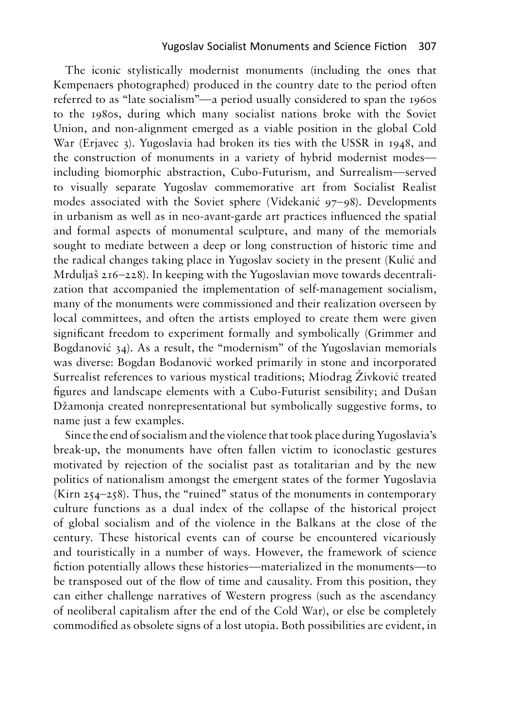The iconic stylistically modernist monuments (including the ones that The iconic stylistically modernist monuments (including the ones that Kempenaers photographed) produced in the country date to the period often referred to as "late socialism"—a period usually considered to span the 1960s referred to as "late socialism"—a period usually considered to span the 1960s<br>to the 1980s, during which many socialist nations broke with the Soviet Union, and non-alignment emerged as a viable position in the global Cold Union, and non-alignment emerged as a viable position in the global Cold War (Erjavec 3). Yugoslavia had broken its ties with the USSR in 1948, and War (Erjavec 3). Yugoslavia had broken its ties with the USSR in 1948, and the construction of monuments in a variety of hybrid modernist modes including biomorphic abstraction, Cubo-Futurism, and Surrealism—served including biomorphic abstraction, Cubo-Futurism, and Surrealism—served<br>to visually separate Yugoslav commemorative art from Socialist Realist modes associated with the Soviet sphere (Videkanic 97-98). Developments modes associated with the Soviet sphere (Videkanić 97–98). Developments in urbanism as well as in neo-avant-garde art practices influenced the spatial in urbanism as well as in neo-avant-garde art practices influenced the spatial and formal aspects of monumental sculpture, and many of the memorials and formal aspects of monumental sculpture, and many of the memorials sought to mediate between a deep or long construction of historic time and the radical changes taking place in Yugoslav society in the present (Kulic and the radical changes taking place in Yugoslav society in the present (Kulić and Mrduljas 216-228). In keeping with the Yugoslavian move towards decentrali-Mrduljaš 216–228). In keeping with the Yugoslavian move towards decentralization that accompanied the implementation of self-management socialism, zation that accompanied the implementation of self-management socialism, many of the monuments were commissioned and their realization overseen by local committees, and often the artists employed to create them were given significant freedom to experiment formally and symbolically (Grimmer and many of the monuments were commissioned and their realization overseen by<br>local committees, and often the artists employed to create them were given<br>significant freedom to experiment formally and symbolically (Grimmer and<br> was diverse: Bogdan Bodanović worked primarily in stone and incorporated was diverse: Bogdan Bodanović worked primarily in stone and incorporated<br>Surrealist references to various mystical traditions; Miodrag Živković treated figures and landscape elements with <sup>a</sup> Cubo-Futurist sensibility; and Dusan figures and landscape elements with a Cubo-Futurist sensibility; and Dušan Dzamonja created nonrepresentational but symbolically suggestive forms, to Džamonja created nonrepresentational but symbolically suggestive forms, to name just a few examples. name just a few examples.

Since the end of socialism and the violence that took place duringYugoslavia's Since the end of socialism and the violence that took place during Yugoslavia's break-up, the monuments have often fallen victim to iconoclastic gestures<br>motivated by rejection of the socialist past as totalitarian and by the new<br>politics of nationalism amongst the emergent states of the former Yugosl motivated by rejection of the socialist past as totalitarian and by the new politics of nationalism amongst the emergent states of the former Yugoslavia (Kirn  $254-258$ ). Thus, the "ruined" status of the monuments in contemporary culture functions as a dual index of the collapse of the historical project of global socialism and of the violence in the Balkans at the close culture functions as a dual index of the collapse of the historical project of global socialism and of the violence in the Balkans at the close of the century. These historical events can of course be encountered vicariously and touristically in a number of ways. However, the framework of science fiction potentially allows these histories—materialized in the monuments—to be transposed out of the flow of time and causality. From this position, they can either challenge narratives of Western progress (such as the ascendancy of neoliberal capitalism after the end of the Cold War), or else be completely commodified as obsolete signs of a lost utopia. Both possibilities are evident, in century. These historical events can of course be encountered vicariously<br>and touristically in a number of ways. However, the framework of science<br>fiction potentially allows these histories—materialized in the monuments—to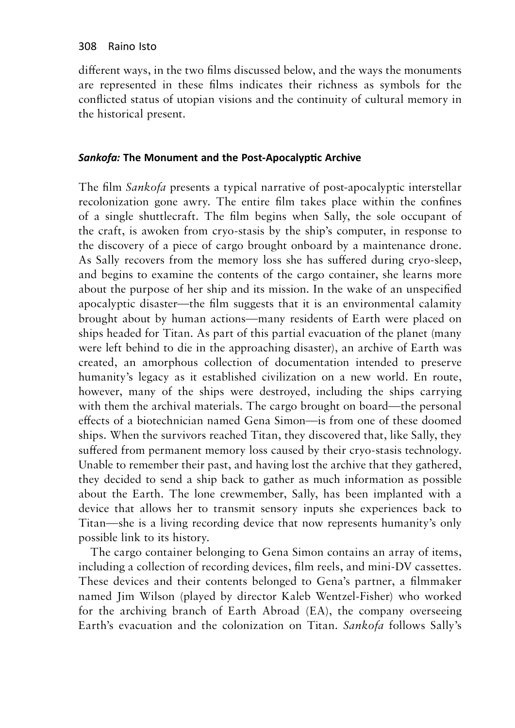different ways, in the two films discussed below, and the ways the monuments are represented in these films indicates their richness as symbols for the conflicted status of utopian visions and the continuity of cultural memory in the historical present.

## *Sankofa:* **The Monument and the Post-Apocalyptic Archive** *Sankofa:* **The Monument and the Post-Apocalyptic Archive**

The film *Sankofa* presents a typical narrative of post-apocalyptic interstellar The film *Sankofa* presents a typical narrative of post-apocalyptic interstellar recolonization gone awry. The entire film takes place within the confines recolonization gone awry. The entire film takes place within the confines of a single shuttlecraft. The film begins when Sally, the sole occupant of the craft, is awoken from cryo-stasis by the ship's computer, in response to the craft, is awoken from cryo-stasis by the ship's computer, in response to the discovery of a piece of cargo brought onboard by a maintenance drone. As Sally recovers from the memory loss she has suffered during cryo-sleep, and begins to examine the contents of the cargo container, she learns more about the purpose of her ship and its mission. In the wake of an unspecified apocalyptic disaster—the film suggests that it is an environmental calamity apocalyptic disaster—the film suggests that it is an environmental calamity brought about by human actions—many residents of Earth were placed on brought about by human actions—many residents of Earth were placed on<br>ships headed for Titan. As part of this partial evacuation of the planet (many were left behind to die in the approaching disaster), an archive of Earth was were left behind to die in the approaching disaster), an archive of Earth was created, an amorphous collection of documentation intended to preserve humanity's legacy as it established civilization on <sup>a</sup> new world. En route, created, an amorphous collection of documentation intended to preserve humanity's legacy as it established civilization on a new world. En route, however, many of the ships were destroyed, including the ships carrying however, many of the ships were destroyed, including the ships carrying with them the archival materials. The cargo brought on board—the personal with them the archival materials. The cargo brought on board—the personal effects of a biotechnician named Gena Simon—is from one of these doomed ships. When the survivors reached Titan, they discovered that, like Sally, they ships. When the survivors reached Titan, they discovered that, like Sally, they suffered from permanent memory loss caused by their cryo-stasis technology. suffered from permanent memory loss caused by their cryo-stasis technology. Unable to remember their past, and having lost the archive that they gathered, Unable to remember their past, and having lost the archive that they gathered, they decided to send a ship back to gather as much information as possible they decided to send a ship back to gather as much information as possible about the Earth. The lone crewmember, Sally, has been implanted with <sup>a</sup> about the Earth. The lone crewmember, Sally, has been implanted with a device that allows her to transmit sensory inputs she experiences back to Titan—she is <sup>a</sup> living recording device that now represents humanity's only device that allows her to transmit sensory inputs she experiences back to Titan—she is a living recording device that now represents humanity's only possible link to its history. possible link to its history. As Sally recovers from the memory loss she has suffered during cryo-sleep,<br>and begins to examine the contents of the cargo container, she learns more<br>about the purpose of her ship and its mission. In the wake of an unspeci

The cargo container belonging to Gena Simon contains an array of items, including a collection of recording devices, film reels, and mini-DV cassettes. These devices and their contents belonged to Gena's partner, a filmmaker named Jim Wilson (played by director Kaleb Wentzel-Fisher) who worked for the archiving branch of Earth Abroad (EA), the company overseeing Earth's evacuation and the colonization on Titan. *Sankofa* follows Sally's Earth's evacuation and the colonization on Titan. *Sankofa* follows Sally's The cargo container belonging to Gena Simon contains an array of items,<br>including a collection of recording devices, film reels, and mini-DV cassettes.<br>These devices and their contents belonged to Gena's partner, a filmmak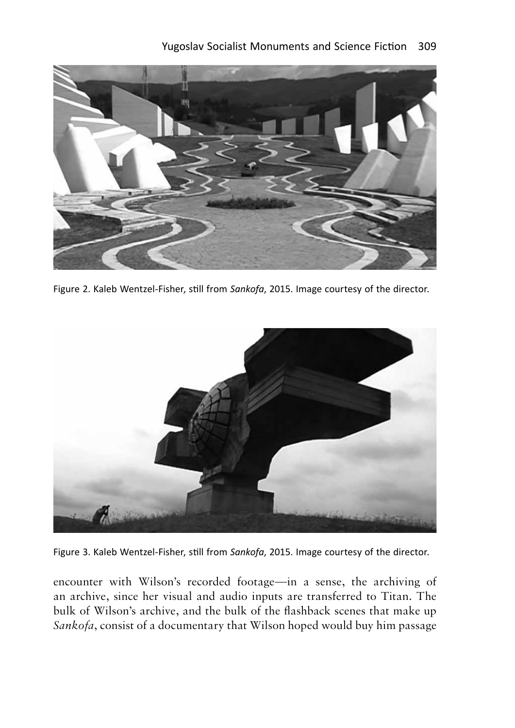

Figure 2. Kaleb Wentzel-Fisher, still from *Sankofa,* 2015. Image courtesy of the director. Figure 2. Kaleb Wentzel-Fisher, still from *Sankofa*, 2015. Image courtesy of the director.



Figure 3. Kaleb Wentzel-Fisher, still from *Sankofa,* 2015. Image courtesy of the director. Figure 3. Kaleb Wentzel-Fisher, still from *Sankofa*, 2015. Image courtesy of the director.

encounter with Wilson's recorded footage—in <sup>a</sup> sense, the archiving of an archive, since her visual and audio inputs are transferred to Titan. The encounter with Wilson's recorded footage—in a sense, the archiving of an archive, since her visual and audio inputs are transferred to Titan. The bulk of Wilson's archive, and the bulk of the flashback scenes that make up bulk of Wilson's archive, and the bulk of the flashback scenes that make up *Sankofa,* consist of <sup>a</sup> documentary that Wilson hoped would buy him passage *Sankofa*, consist of a documentary that Wilson hoped would buy him passage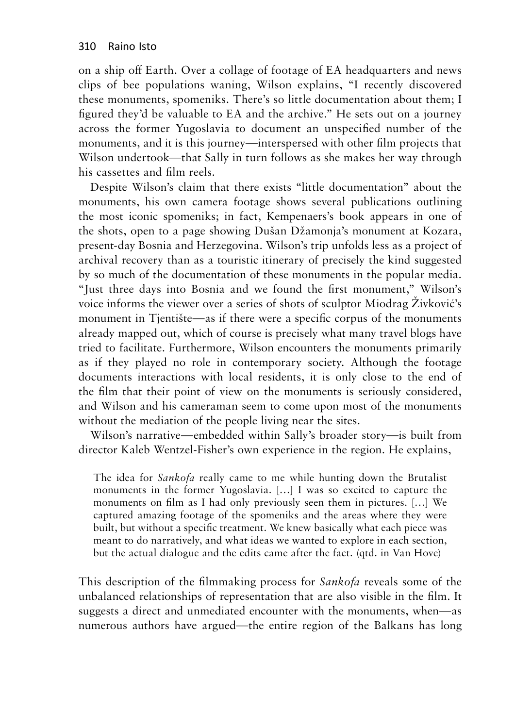on a ship off Earth. Over a collage of footage of EA headquarters and news on a ship off Earth. Over a collage of footage of EA headquarters and news clips of bee populations waning, Wilson explains, "I recently discovered clips of bee populations waning, Wilson explains, "I recently discovered these monuments, spomeniks. There's so little documentation about them; I these monuments, spomeniks. There's so little documentation about them; I<br>figured they'd be valuable to EA and the archive." He sets out on a journey across the former Yugoslavia to document an unspecified number of the across the former Yugoslavia to document an unspecified number of the monuments, and it is this journey—interspersed with other film projects that Wilson undertook—that Sally in turn follows as she makes her way through monuments, and it is this journey—interspersed with other film projects that Wilson undertook—that Sally in turn follows as she makes her way through his cassettes and film reels. his cassettes and film reels.

Despite Wilson's claim that there exists "little documentation" about the Despite Wilson's claim that there exists "little documentation" about the monuments, his own camera footage shows several publications outlining the most iconic spomeniks; in fact, Kempenaers's book appears in one of the most iconic spomeniks; in fact, Kempenaers's book appears in one of the shots, open to a page showing Dušan Džamonja's monument at Kozara, present-day Bosnia and Herzegovina. Wilson's trip unfolds less as <sup>a</sup> project of present-day Bosnia and Herzegovina. Wilson's trip unfolds less as a project of archival recovery than as a touristic itinerary of precisely the kind suggested archival recovery than as a touristic itinerary of precisely the kind suggested by so much of the documentation of these monuments in the popular media. by so much of the documentation of these monuments in the popular media. "Just three days into Bosnia and we found the first monument," Wilson's "Just three days into Bosnia and we found the first monument," Wilson's voice informs the viewer over a series of shots of sculptor Miodrag Zivkovic's voice informs the viewer over a series of shots of sculptor Miodrag Živković's monument in Tjentište—as if there were a specific corpus of the monuments already mapped out, which of course is precisely what many travel blogs have already mapped out, which of course is precisely what many travel blogs have<br>tried to facilitate. Furthermore, Wilson encounters the monuments primarily as if they played no role in contemporary society. Although the footage documents interactions with local residents, it is only close to the end of the film that their point of view on the monuments is seriously considered, and Wilson and his cameraman seem to come upon most of the monuments and Wilson and his cameraman seem to come upon most of the monuments without the mediation of the people living near the sites. without the mediation of the people living near the sites. as if they played no role in contemporary society. Although the footage documents interactions with local residents, it is only close to the end of the film that their point of view on the monuments is seriously considered,

Wilson's narrative—embedded within Sally's broader story—is built from Wilson's narrative—embedded within Sally's broader story—is built from director Kaleb Wentzel-Fisher's own experience in the region. He explains, director Kaleb Wentzel-Fisher's own experience in the region. He explains,

The idea for *Sankofa* really came to me while hunting down the Brutalist The idea for *Sankofa* really came to me while hunting down the Brutalist monuments in the former Yugoslavia. [...] I was so excited to capture the monuments in the former Yugoslavia. […] I was so excited to capture the monuments on film as I had only previously seen them in pictures. [...] We monuments on film as I had only previously seen them in pictures. […] We captured amazing footage of the spomeniks and the areas where they were captured amazing footage of the spomeniks and the areas where they were built, but without a specific treatment. We knew basically what each piece was built, but without a specific treatment. We knew basically what each piece was meant to do narratively, and what ideas we wanted to explore in each section, meant to do narratively, and what ideas we wanted to explore in each section, but the actual dialogue and the edits came after the fact. (qtd. in Van Hove) but the actual dialogue and the edits came after the fact. (qtd. in Van Hove)

This description of the filmmaking process for *Sankofa* reveals some of the This description of the filmmaking process for *Sankofa* reveals some of the unbalanced relationships of representation that are also visible in the film. It unbalanced relationships of representation that are also visible in the film. It suggests <sup>a</sup> direct and unmediated encounter with the monuments, when—as suggests a direct and unmediated encounter with the monuments, when—as numerous authors have argued—the entire region of the Balkans has long numerous authors have argued—the entire region of the Balkans has long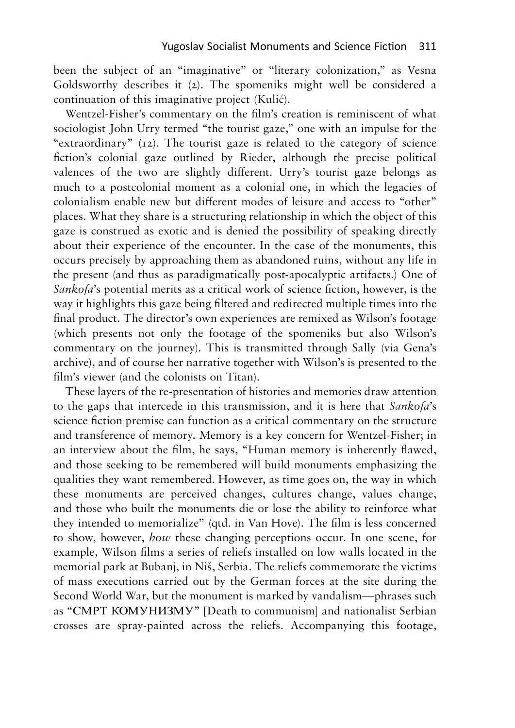been the subject of an "imaginative" or "literary colonization," as Vesna been the subject of an "imaginative" or "literary colonization," as Vesna Goldsworthy describes it (2). The spomeniks might well be considered <sup>a</sup> Goldsworthy describes it (2). The spomeniks might well be considered a continuation of this imaginative project (Kulic). continuation of this imaginative project (Kulić).

Wentzel-Fisher's commentary on the film's creation is reminiscent of what Wentzel-Fisher's commentary on the film's creation is reminiscent of what sociologist John Urry termed "the tourist gaze," one with an impulse for the sociologist John Urry termed "the tourist gaze," one with an impulse for the "extraordinary" (12). The tourist gaze is related to the category of science "extraordinary" (12). The tourist gaze is related to the category of science fiction's colonial gaze outlined by Rieder, although the precise political valences of the two are slightly different. Urry's tourist gaze belongs as valences of the two are slightly different. Urry's tourist gaze belongs as much to a postcolonial moment as a colonial one, in which the legacies of much to a postcolonial moment as a colonial one, in which the legacies of colonialism enable new but different modes of leisure and access to "other" places. What they share is a structuring relationship in which the object of this places. What they share is a structuring relationship in which the object of this gaze is construed as exotic and is denied the possibility of speaking directly gaze is construed as exotic and is denied the possibility of speaking directly about their experience of the encounter. In the case of the monuments, this about their experience of the encounter. In the case of the monuments, this occurs precisely by approaching them as abandoned ruins, without any life in occurs precisely by approaching them as abandoned ruins, without any life in the present (and thus as paradigmatically post-apocalyptic artifacts.) One of the present (and thus as paradigmatically post-apocalyptic artifacts.) One of *Sankofa*'s potential merits as a critical work of science fiction, however, is the *Sankofa*'s potential merits as a critical work of science fiction, however, is the way it highlights this gaze being filtered and redirected multiple times into the way it highlights this gaze being filtered and redirected multiple times into the final product. The director's own experiences are remixed as Wilson's footage final product. The director's own experiences are remixed as Wilson's footage (which presents not only the footage of the spomeniks but also Wilson's (which presents not only the footage of the spomeniks but also Wilson's commentary on the journey). This is transmitted through Sally (via Gena's commentary on the journey). This is transmitted through Sally (via Gena's archive), and of course her narrative together with Wilson's is presented to the film's viewer (and the colonists on Titan). film's viewer (and the colonists on Titan).

These layers of the re-presentation of histories and memories draw attention These layers of the re-presentation of histories and memories draw attention to the gaps that intercede in this transmission, and it is here that *Sankofa*'s to the gaps that intercede in this transmission, and it is here that *Sankofa*'s science fiction premise can function as a critical commentary on the structure science fiction premise can function as a critical commentary on the structure<br>and transference of memory. Memory is a key concern for Wentzel-Fisher; in an interview about the film, he says, "Human memory is inherently flawed, an interview about the film, he says, "Human memory is inherently flawed, and those seeking to be remembered will build monuments emphasizing the and those seeking to be remembered will build monuments emphasizing the qualities they want remembered. However, as time goes on, the way in which these monuments are perceived changes, cultures change, values change, these monuments are perceived changes, cultures change, values change, and those who built the monuments die or lose the ability to reinforce what they intended to memorialize" (qtd. in Van Hove). The film is less concerned to show, however, *how* these changing perceptions occur. In one scene, for example, Wilson films a series of reliefs installed on low walls located in the memorial park at Bubanj, in Nis, Serbia. The reliefs commemorate the victims of mass executions carried out by the German forces at the site during the Second World War, but the monument is marked by vandalism—phrases such as "CMPT KOMYHH**3**MY" [Death to communism] and nationalist Serbian example, Wilson films a series of reliefs installed on low walls located in the<br>memorial park at Bubanj, in Niš, Serbia. The reliefs commemorate the victims<br>of mass executions carried out by the German forces at the site d and those who built the monuments die or lose the ability to reinforce what<br>they intended to memorialize" (qtd. in Van Hove). The film is less concerned<br>to show, however, *how* these changing perceptions occur. In one scen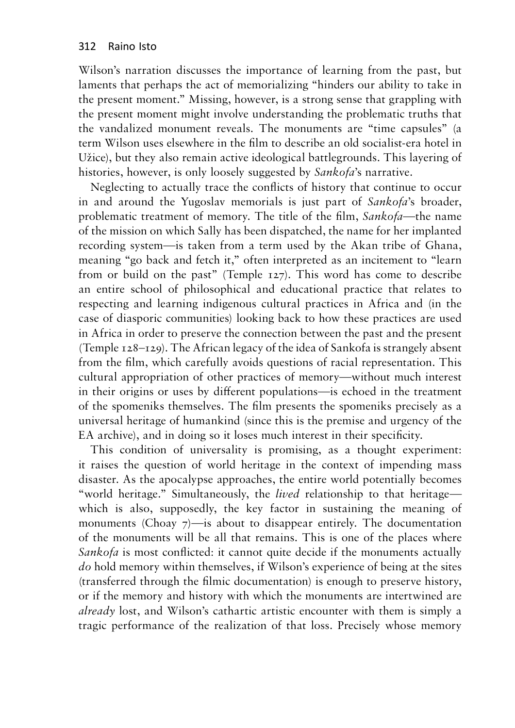Wilson's narration discusses the importance of learning from the past, but Wilson's narration discusses the importance of learning from the past, but laments that perhaps the act of memorializing "hinders our ability to take in laments that perhaps the act of memorializing "hinders our ability to take in the present moment." Missing, however, is a strong sense that grappling with the present moment." Missing, however, is a strong sense that grappling with the present moment might involve understanding the problematic truths that the present moment might involve understanding the problematic truths that the vandalized monument reveals. The monuments are "time capsules" (a the vandalized monument reveals. The monuments are "time capsules" (a term Wilson uses elsewhere in the film to describe an old socialist-era hotel in term Wilson uses elsewhere in the film to describe an old socialist-era hotel in Uzice), but they also remain active ideological battlegrounds. This layering of Užice), but they also remain active ideological battlegrounds. This layering of histories, however, is only loosely suggested by *Sankofa's* narrative. histories, however, is only loosely suggested by *Sankofa*'s narrative.

Neglecting to actually trace the conflicts of history that continue to occur Neglecting to actually trace the conflicts of history that continue to occur in and around the Yugoslav memorials is just part of *Sankofa*'s broader, in and around the Yugoslav memorials is just part of *Sankofa*'s broader, problematic treatment of memory. The title of the film, *Sankofa*—the name problematic treatment of memory. The title of the film, *Sankofa*—the name of the mission on which Sally has been dispatched, the name for her implanted of the mission on which Sally has been dispatched, the name for her implanted<br>recording system—is taken from a term used by the Akan tribe of Ghana, meaning "go back and fetch it," often interpreted as an incitement to "learn meaning "go back and fetch it," often interpreted as an incitement to "learn from or build on the past" (Temple 127). This word has come to describe an entire school of philosophical and educational practice that relates to from or build on the past" (Temple 127). This word has come to describe an entire school of philosophical and educational practice that relates to respecting and learning indigenous cultural practices in Africa and (in the respecting and learning indigenous cultural practices in Africa and (in the case of diasporic communities) looking back to how these practices are used in Africa in order to preserve the connection between the past and the present (Temple 128-129). The African legacy of the idea of Sankofa is strangely absent from the film, which carefully avoids questions of racial representation. This from the film, which carefully avoids questions of racial representation. This cultural appropriation of other practices of memory—without much interest cultural appropriation of other practices of memory—without much interest in their origins or uses by different populations-is echoed in the treatment of the spomeniks themselves. The film presents the spomeniks precisely as <sup>a</sup> of the spomeniks themselves. The film presents the spomeniks precisely as a universal heritage of humankind (since this is the premise and urgency of the<br>EA archive), and in doing so it loses much interest in their specificity. EA archive), and in doing so it loses much interest in their specificity. case of diasporic communities) looking back to how these practices are used<br>in Africa in order to preserve the connection between the past and the present<br>(Temple 128–129). The African legacy of the idea of Sankofa is stra

This condition of universality is promising, as a thought experiment: This condition of universality is promising, as a thought experiment: it raises the question of world heritage in the context of impending mass it raises the question of world heritage in the context of impending mass<br>disaster. As the apocalypse approaches, the entire world potentially becomes "world heritage." Simultaneously, the *lived* relationship to that heritage— "world heritage." Simultaneously, the *lived* relationship to that heritage which is also, supposedly, the key factor in sustaining the meaning of which is also, supposedly, the key factor in sustaining the meaning of monuments (Choay  $\frac{7}{2}$ ) —is about to disappear entirely. The documentation of the monuments will be all that remains. This is one of the places where *Sankofa* is most conflicted: it cannot quite decide if the monuments actually *Sankofa* is most conflicted: it cannot quite decide if the monuments actually *do* hold memory within themselves, if Wilson's experience of being at the sites *do* hold memory within themselves, if Wilson's experience of being at the sites (transferred through the filmic documentation) is enough to preserve history, (transferred through the filmic documentation) is enough to preserve history, or if the memory and history with which the monuments are intertwined are *already* lost, and Wilson's cathartic artistic encounter with them is simply <sup>a</sup> *already* lost, and Wilson's cathartic artistic encounter with them is simply a tragic performance of the realization of that loss. Precisely whose memory tragic performance of the realization of that loss. Precisely whose memory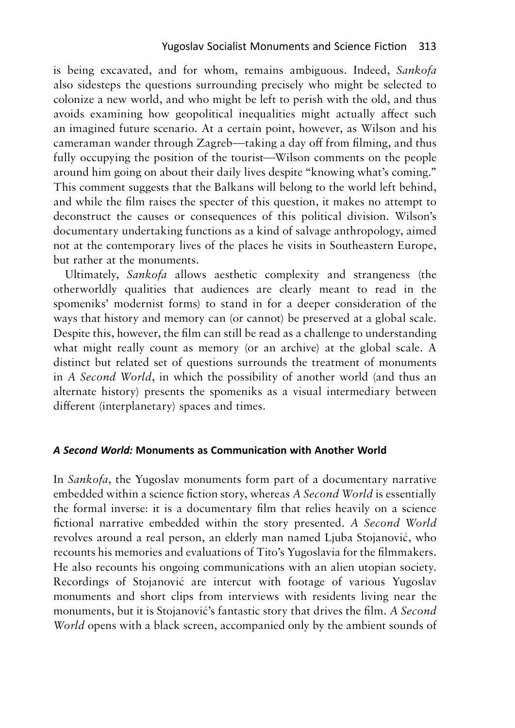is being excavated, and for whom, remains ambiguous. Indeed, *Sankofa* is being excavated, and for whom, remains ambiguous. Indeed, *Sankofa*  also sidesteps the questions surrounding precisely who might be selected to also sidesteps the questions surrounding precisely who might be selected to colonize <sup>a</sup> new world, and who might be left to perish with the old, and thus colonize a new world, and who might be left to perish with the old, and thus avoids examining how geopolitical inequalities might actually affect such an imagined future scenario. At <sup>a</sup> certain point, however, as Wilson and his an imagined future scenario. At a certain point, however, as Wilson and his cameraman wander through Zagreb—taking <sup>a</sup> day off from filming, and thus fully occupying the position of the tourist—Wilson comments on the people cameraman wander through Zagreb—taking a day off from filming, and thus fully occupying the position of the tourist—Wilson comments on the people around him going on about their daily lives despite "knowing what's coming." around him going on about their daily lives despite "knowing what's coming." This comment suggests that the Balkans will belong to the world left behind, This comment suggests that the Balkans will belong to the world left behind, and while the film raises the specter of this question, it makes no attempt to deconstruct the causes or consequences of this political division. Wilson's deconstruct the causes or consequences of this political division. Wilson's documentary undertaking functions as a kind of salvage anthropology, aimed documentary undertaking functions as a kind of salvage anthropology, aimed<br>not at the contemporary lives of the places he visits in Southeastern Europe, but rather at the monuments. but rather at the monuments.

Ultimately, *Sankofa* allows aesthetic complexity and strangeness (the Ultimately, *Sankofa* allows aesthetic complexity and strangeness (the otherworldly qualities that audiences are clearly meant to read in the spomeniks' modernist forms) to stand in for a deeper consideration of the spomeniks' modernist forms) to stand in for a deeper consideration of the ways that history and memory can (or cannot) be preserved at a global scale. Despite this, however, the film can still be read as a challenge to understanding ways that history and memory can (or cannot) be preserved at a global scale.<br>Despite this, however, the film can still be read as a challenge to understanding<br>what might really count as memory (or an archive) at the global distinct but related set of questions surrounds the treatment of monuments distinct but related set of questions surrounds the treatment of monuments in A *Second World,* in which the possibility of another world (and thus an in A Second World, in which the possibility of another world (and thus an alternate history) presents the spomeniks as a visual intermediary between different (interplanetary) spaces and times. different (interplanetary) spaces and times.

#### *A Second World:* **Monuments as Communication with Another World**

In *Sankofa*, the Yugoslav monuments form part of a documentary narrative embedded within a science fiction story, whereas *A Second World* is essentially the formal inverse: it is a documentary film that relies heavily on a science fictional narrative embedded within the story presented. *A Second World*  revolves around a real person, an elderly man named Ljuba Stojanović, who recounts his memories and evaluations of Tito's Yugoslavia for the filmmakers. He also recounts his ongoing communications with an alien utopian society. Recordings of Stojanović are intercut with footage of various Yugoslav monuments and short clips from interviews with residents living near the monuments, but it is Stojanović's fantastic story that drives the film. *A Second World* opens with a black screen, accompanied only by the ambient sounds of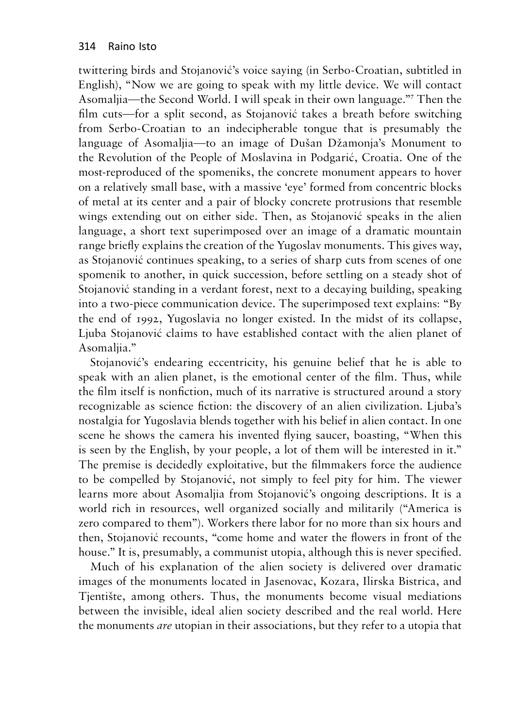twittering birds and Stojanovic's voice saying (in Serbo-Croatian, subtitled in twittering birds and Stojanović's voice saying (in Serbo-Croatian, subtitled in English), "Now we are going to speak with my little device. We will contact English), "Now we are going to speak with my little device. We will contact Asomaljia—the Second World. I will speak in their own language."7 Then the Asomaljia—the Second World. I will speak in their own language."**<sup>7</sup>** Asomaljia—the Second World. I will speak in their own language."<sup>7</sup> Then the<br>film cuts—for a split second, as Stojanović takes a breath before switching from Serbo-Croatian to an indecipherable tongue that is presumably the from Serbo-Croatian to an indecipherable tongue that is presumably the language of Asomaljia—to an image of Dušan Džamonja's Monument to language of Asomaljia—to an image of Dušan Džamonja's Monument to<br>the Revolution of the People of Moslavina in Podgarić, Croatia. One of the most-reproduced of the spomeniks, the concrete monument appears to hover most-reproduced of the spomeniks, the concrete monument appears to hover on <sup>a</sup> relatively small base, with <sup>a</sup> massive 'eye' formed from concentric blocks on a relatively small base, with a massive 'eye' formed from concentric blocks<br>of metal at its center and a pair of blocky concrete protrusions that resemble wings extending out on either side. Then, as Stojanovic speaks in the alien wings extending out on either side. Then, as Stojanović speaks in the alien language, a short text superimposed over an image of a dramatic mountain language, a short text superimposed over an image of a dramatic mountain range briefly explains the creation of the Yugoslav monuments. This gives way, range briefly explains the creation of the Yugoslav monuments. This gives way, as Stojanovic continues speaking, to a series of sharp cuts from scenes of one as Stojanović continues speaking, to a series of sharp cuts from scenes of one spomenik to another, in quick succession, before settling on a steady shot of spomenik to another, in quick succession, before settling on a steady shot of<br>Stojanović standing in a verdant forest, next to a decaying building, speaking into <sup>a</sup> two-piece communication device. The superimposed text explains: "By into a two-piece communication device. The superimposed text explains: "By the end of 1992, Yugoslavia no longer existed. In the midst of its collapse, the end of 1992, Yugoslavia no longer existed. In the midst of its collapse,<br>Ljuba Stojanović claims to have established contact with the alien planet of Asomaljia." Asomaljia."

Stojanović's endearing eccentricity, his genuine belief that he is able to speak with an alien planet, is the emotional center of the film. Thus, while the film itself is nonfiction, much of its narrative is structured around a story recognizable as science fiction: the discovery of an alien civilization. Ljuba's recognizable as science fiction: the discovery of an alien civilization. Ljuba's nostalgia for Yugoslavia blends together with his belief in alien contact. In one nostalgia for Yugoslavia blends together with his belief in alien contact. In one<br>scene he shows the camera his invented flying saucer, boasting, "When this is seen by the English, by your people, <sup>a</sup> lot of them will be interested in it." is seen by the English, by your people, a lot of them will be interested in it." The premise is decidedly exploitative, but the filmmakers force the audience The premise is decidedly exploitative, but the filmmakers force the audience<br>to be compelled by Stojanović, not simply to feel pity for him. The viewer learns more about Asomaljia from Stojanovic's ongoing descriptions. It is <sup>a</sup> learns more about Asomaljia from Stojanović's ongoing descriptions. It is a world rich in resources, well organized socially and militarily ("America is world rich in resources, well organized socially and militarily ("America is zero compared to them"). Workers there labor for no more than six hours and zero compared to them"). Workers there labor for no more than six hours and then, Stojanovic recounts, "come home and water the flowers in front of the then, Stojanović recounts, "come home and water the flowers in front of the<br>house." It is, presumably, a communist utopia, although this is never specified. Stojanović's endearing eccentricity, his genuine belief that he is able to speak with an alien planet, is the emotional center of the film. Thus, while the film itself is nonfiction, much of its narrative is structured aro

Much of his explanation of the alien society is delivered over dramatic Much of his explanation of the alien society is delivered over dramatic images of the monuments located in Jasenovac, Kozara, Ilirska Bistrica, and<br>Tjentište, among others. Thus, the monuments become visual mediations<br>between the invisible, ideal alien society described and the real world. Her Tjentiste, among others. Thus, the monuments become visual mediations between the invisible, ideal alien society described and the real world. Here the monuments *are* utopian in their associations, but they refer to a utopia that the monuments *are* utopian in their associations, but they refer to a utopia that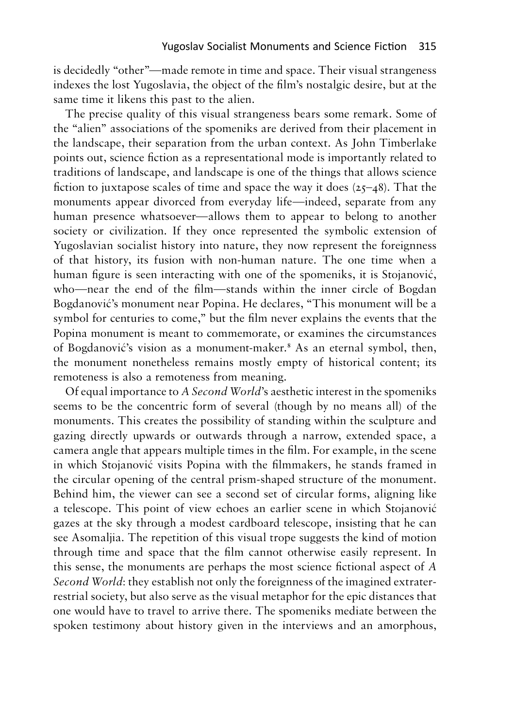is decidedly "other"—made remote in time and space. Their visual strangeness is decidedly "other"—made remote in time and space. Their visual strangeness indexes the lost Yugoslavia, the object of the film's nostalgic desire, but at the indexes the lost Yugoslavia, the object of the film's nostalgic desire, but at the same time it likens this past to the alien. same time it likens this past to the alien.

The precise quality of this visual strangeness bears some remark. Some of The precise quality of this visual strangeness bears some remark. Some of the "alien" associations of the spomeniks are derived from their placement in the "alien" associations of the spomeniks are derived from their placement in the landscape, their separation from the urban context. As John Timberlake the landscape, their separation from the urban context. As John Timberlake<br>points out, science fiction as a representational mode is importantly related to traditions of landscape, and landscape is one of the things that allows science traditions of landscape, and landscape is one of the things that allows science fiction to juxtapose scales of time and space the way it does  $(25-48)$ . That the fiction to juxtapose scales of time and space the way it does  $(25-48)$ . That the monuments appear divorced from everyday life—indeed, separate from any human presence whatsoever—allows them to appear to belong to another human presence whatsoever—allows them to appear to belong to another society or civilization. If they once represented the symbolic extension of society or civilization. If they once represented the symbolic extension of<br>Yugoslavian socialist history into nature, they now represent the foreignness of that history, its fusion with non-human nature. The one time when <sup>a</sup> of that history, its fusion with non-human nature. The one time when a human figure is seen interacting with one of the spomeniks, it is Stojanovic, human figure is seen interacting with one of the spomeniks, it is Stojanović, who—near the end of the film—stands within the inner circle of Bogdan who—near the end of the film—stands within the inner circle of Bogdan Bogdanovic's monument near Popina. He declares, "This monument will be <sup>a</sup> Bogdanović's monument near Popina. He declares, "This monument will be a symbol for centuries to come," but the film never explains the events that the symbol for centuries to come," but the film never explains the events that the Popina monument is meant to commemorate, or examines the circumstances Popina monument is meant to commemorate, or examines the circumstances of Bogdanović's vision as a monument-maker.<sup>8</sup> As an eternal symbol, then, the monument nonetheless remains mostly empty of historical content; its remoteness is also a remoteness from meaning. remoteness is also a remoteness from meaning.

Of equal importance to *A Second World*'s aesthetic interest in the spomeniks Of equal importance to *A Second World*'s aesthetic interest in the spomeniks seems to be the concentric form of several (though by no means all) of the seems to be the concentric form of several (though by no means all) of the monuments. This creates the possibility of standing within the sculpture and gazing directly upwards or outwards through a narrow, extended space, <sup>a</sup> gazing directly upwards or outwards through a narrow, extended space, a camera angle that appears multiple times in the film. For example, in the scene camera angle that appears multiple times in the film. For example, in the scene in which Stojanovic visits Popina with the filmmakers, he stands framed in in which Stojanović visits Popina with the filmmakers, he stands framed in the circular opening of the central prism-shaped structure of the monument. the circular opening of the central prism-shaped structure of the monument. Behind him, the viewer can see a second set of circular forms, aligning like Behind him, the viewer can see a second set of circular forms, aligning like<br>a telescope. This point of view echoes an earlier scene in which Stojanović gazes at the sky through a modest cardboard telescope, insisting that he can gazes at the sky through a modest cardboard telescope, insisting that he can see Asomaljia. The repetition of this visual trope suggests the kind of motion see Asomaljia. The repetition of this visual trope suggests the kind of motion through time and space that the film cannot otherwise easily represent. In through time and space that the film cannot otherwise easily represent. In this sense, the monuments are perhaps the most science fictional aspect of *A* this sense, the monuments are perhaps the most science fictional aspect of *A Second World*: they establish not only the foreignness of the imagined extrater-*Second World*: they establish not only the foreignness of the imagined extraterrestrial society, but also serve as the visual metaphor for the epic distances that one would have to travel to arrive there. The spomeniks mediate between the one would have to travel to arrive there. The spomeniks mediate between the spoken testimony about history given in the interviews and an amorphous, spoken testimony about history given in the interviews and an amorphous,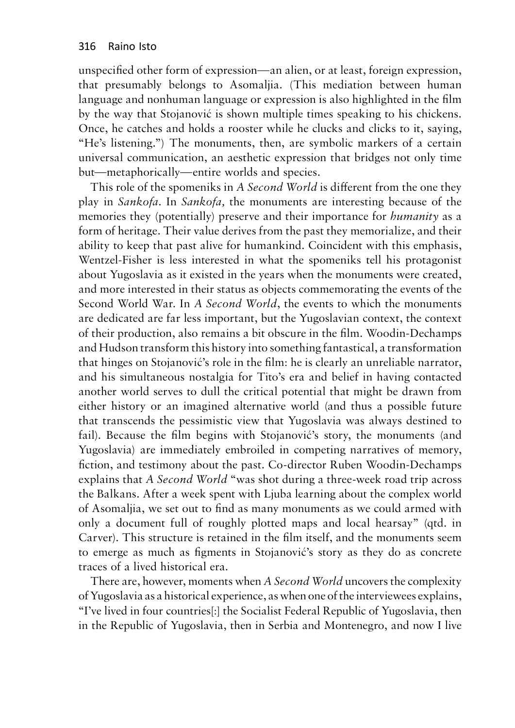unspecified other form of expression—an alien, or at least, foreign expression, that presumably belongs to Asomaljia. (This mediation between human language and nonhuman language or expression is also highlighted in the film by the way that Stojanović is shown multiple times speaking to his chickens. Once, he catches and holds a rooster while he clucks and clicks to it, saying, "He's listening.") The monuments, then, are symbolic markers of a certain universal communication, an aesthetic expression that bridges not only time but—metaphorically—entire worlds and species.

This role of the spomeniks in *A Second World* is different from the one they play in *Sankofa*. In *Sankofa,* the monuments are interesting because of the memories they (potentially) preserve and their importance for *humanity* as a form of heritage. Their value derives from the past they memorialize, and their ability to keep that past alive for humankind. Coincident with this emphasis, Wentzel-Fisher is less interested in what the spomeniks tell his protagonist about Yugoslavia as it existed in the years when the monuments were created, and more interested in their status as objects commemorating the events of the Second World War. In *A Second World*, the events to which the monuments are dedicated are far less important, but the Yugoslavian context, the context of their production, also remains a bit obscure in the film. Woodin-Dechamps and Hudson transform this history into something fantastical, a transformation that hinges on Stojanović's role in the film: he is clearly an unreliable narrator, and his simultaneous nostalgia for Tito's era and belief in having contacted another world serves to dull the critical potential that might be drawn from either history or an imagined alternative world (and thus a possible future that transcends the pessimistic view that Yugoslavia was always destined to fail). Because the film begins with Stojanović's story, the monuments (and Yugoslavia) are immediately embroiled in competing narratives of memory, fiction, and testimony about the past. Co-director Ruben Woodin-Dechamps explains that *A Second World* "was shot during a three-week road trip across the Balkans. After a week spent with Ljuba learning about the complex world of Asomaljia, we set out to find as many monuments as we could armed with only a document full of roughly plotted maps and local hearsay" (qtd. in Carver). This structure is retained in the film itself, and the monuments seem to emerge as much as figments in Stojanović's story as they do as concrete traces of a lived historical era.

There are, however, moments when *A Second World* uncovers the complexity of Yugoslavia as a historical experience, as when one of the interviewees explains, "I've lived in four countries[:] the Socialist Federal Republic of Yugoslavia, then in the Republic of Yugoslavia, then in Serbia and Montenegro, and now I live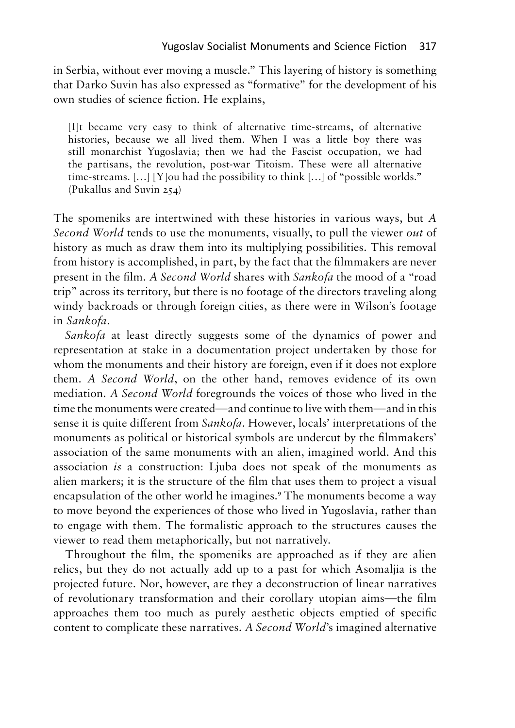in Serbia, without ever moving a muscle." This layering of history is something in Serbia, without ever moving a muscle." This layering of history is something that Darko Suvin has also expressed as "formative" for the development of his that Darko Suvin has also expressed as "formative" for the development of his own studies of science fiction. He explains, own studies of science fiction. He explains,

[I]t became very easy to think of alternative time-streams, of alternative [I]t became very easy to think of alternative time-streams, of alternative histories, because we all lived them. When I was a little boy there was histories, because we all lived them. When I was a little boy there was still monarchist Yugoslavia; then we had the Fascist occupation, we had still monarchist Yugoslavia; then we had the Fascist occupation, we had the partisans, the revolution, post-war Titoism. These were all alternative the partisans, the revolution, post-war Titoism. These were all alternative time-streams. [...] [Y]ou had the possibility to think [...] of "possible worlds." time-streams. […] [Y]ou had the possibility to think […] of "possible worlds." (Pukallus and Suvin 254) (Pukallus and Suvin 254)

The spomeniks are intertwined with these histories in various ways, but *A* The spomeniks are intertwined with these histories in various ways, but *A Second World* tends to use the monuments, visually, to pull the viewer *out* of *Second World* tends to use the monuments, visually, to pull the viewer *out* of history as much as draw them into its multiplying possibilities. This removal history as much as draw them into its multiplying possibilities. This removal from history is accomplished, in part, by the fact that the filmmakers are never from history is accomplished, in part, by the fact that the filmmakers are never<br>present in the film. *A Second World* shares with Sankofa the mood of a "road trip" across its territory, but there is no footage of the directors traveling along trip" across its territory, but there is no footage of the directors traveling along windy backroads or through foreign cities, as there were in Wilson's footage in *Sankofa*. in *Sankofa.*

*Sankofa* at least directly suggests some of the dynamics of power and *Sankofa* at least directly suggests some of the dynamics of power and representation at stake in a documentation project undertaken by those for representation at stake in a documentation project undertaken by those for whom the monuments and their history are foreign, even if it does not explore whom the monuments and their history are foreign, even if it does not explore them. A *Second World,* on the other hand, removes evidence of its own them. *A Second World*, on the other hand, removes evidence of its own mediation. *A Second World* foregrounds the voices of those who lived in the mediation. A Second World foregrounds the voices of those who lived in the time the monuments were created—and continue to live with them—and in this sense it is quite different from *Sankofa*. However, locals' interpretations of the sense it is quite different from *Sankofa*. However, locals' interpretations of the monuments as political or historical symbols are undercut by the filmmakers' association of the same monuments with an alien, imagined world. And this monuments as political or historical symbols are undercut by the filmmakers' association of the same monuments with an alien, imagined world. And this association *is* a construction: Ljuba does not speak of the monuments as association *is* a construction: Ljuba does not speak of the monuments as alien markers; it is the structure of the film that uses them to project <sup>a</sup> visual alien markers; it is the structure of the film that uses them to project a visual encapsulation of the other world he imagines.<sup>9</sup> The monuments become a way to move beyond the experiences of those who lived in Yugoslavia, rather than to engage with them. The formalistic approach to the structures causes the viewer to read them metaphorically, but not narratively. viewer to read them metaphorically, but not narratively. encapsulation of the other world he imagines.<sup>9</sup> The monuments become a way to move beyond the experiences of those who lived in Yugoslavia, rather than

Throughout the film, the spomeniks are approached as if they are alien Throughout the film, the spomeniks are approached as if they are alien relics, but they do not actually add up to a past for which Asomaljia is the relics, but they do not actually add up to a past for which Asomaljia is the<br>projected future. Nor, however, are they a deconstruction of linear narratives of revolutionary transformation and their corollary utopian aims—the film of revolutionary transformation and their corollary utopian aims—the film approaches them too much as purely aesthetic objects emptied of specific approaches them too much as purely aesthetic objects emptied of specific<br>content to complicate these narratives. A Second World's imagined alternative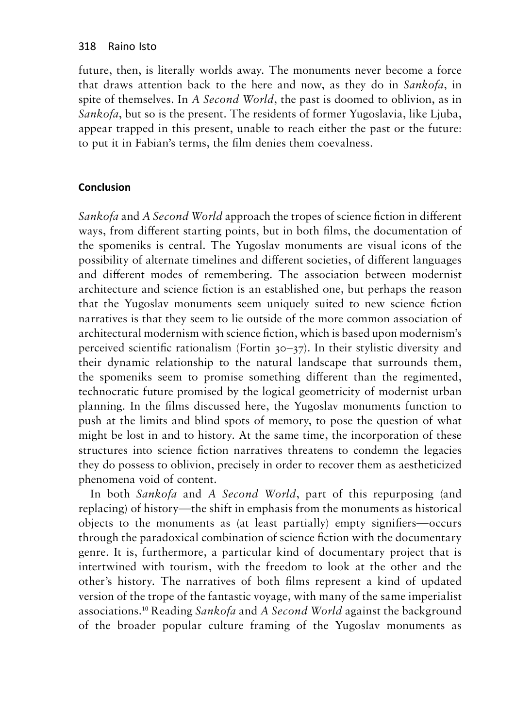future, then, is literally worlds away. The monuments never become a force that draws attention back to the here and now, as they do in *Sankofa*, in spite of themselves. In *A Second World*, the past is doomed to oblivion, as in *Sankofa*, but so is the present. The residents of former Yugoslavia, like Ljuba, appear trapped in this present, unable to reach either the past or the future: to put it in Fabian's terms, the film denies them coevalness.

## **Conclusion Conclusion**

*Sankofa* and *A Second World* approach the tropes of science fiction in different *Sankofa* and *A Second World* approach the tropes of science fiction in different ways, from different starting points, but in both films, the documentation of ways, from different starting points, but in both films, the documentation of the spomeniks is central. The Yugoslav monuments are visual icons of the possibility of alternate timelines and different societies, of different languages possibility of alternate timelines and different societies, of different languages and different modes of remembering. The association between modernist and different modes of remembering. The association between modernist<br>architecture and science fiction is an established one, but perhaps the reason that the Yugoslav monuments seem uniquely suited to new science fiction that the Yugoslav monuments seem uniquely suited to new science fiction narratives is that they seem to lie outside of the more common association of narratives is that they seem to lie outside of the more common association of<br>architectural modernism with science fiction, which is based upon modernism's perceived scientific rationalism (Fortin 30-37). In their stylistic diversity and perceived scientific rationalism (Fortin 30–37). In their stylistic diversity and their dynamic relationship to the natural landscape that surrounds them, their dynamic relationship to the natural landscape that surrounds them, the spomeniks seem to promise something different than the regimented, the spomeniks seem to promise something different than the regimented, technocratic future promised by the logical geometricity of modernist urban technocratic future promised by the logical geometricity of modernist urban planning. In the films discussed here, the Yugoslav monuments function to planning. In the films discussed here, the Yugoslav monuments function to push at the limits and blind spots of memory, to pose the question of what push at the limits and blind spots of memory, to pose the question of what might be lost in and to history. At the same time, the incorporation of these structures into science fiction narratives threatens to condemn the legacies might be lost in and to history. At the same time, the incorporation of these<br>structures into science fiction narratives threatens to condemn the legacies<br>they do possess to oblivion, precisely in order to recover them as phenomena void of content. phenomena void of content.

In both *Sankofa* and *A Second World*, part of this repurposing (and replacing) of history—the shift in emphasis from the monuments as historical objects to the monuments as (at least partially) empty signifiers—occurs through the paradoxical combination of science fiction with the documentary<br>genre. It is, furthermore, a particular kind of documentary project that is genre. It is, furthermore, <sup>a</sup> particular kind of documentary project that is intertwined with tourism, with the freedom to look at the other and the intertwined with tourism, with the freedom to look at the other and the other's history. The narratives of both films represent a kind of updated version of the trope of the fantastic voyage, with many of the same imperialist version of the trope of the fantastic voyage, with many of the same imperialist<br>associations.<sup>10</sup> Reading Sankofa and A Second World against the background of the broader popular culture framing of the Yugoslav monuments as of the broader popular culture framing of the Yugoslav monuments as In both *Sankofa* and *A Second World*, part of this repurposing (and replacing) of history—the shift in emphasis from the monuments as historical objects to the monuments as (at least partially) empty signifiers—occurs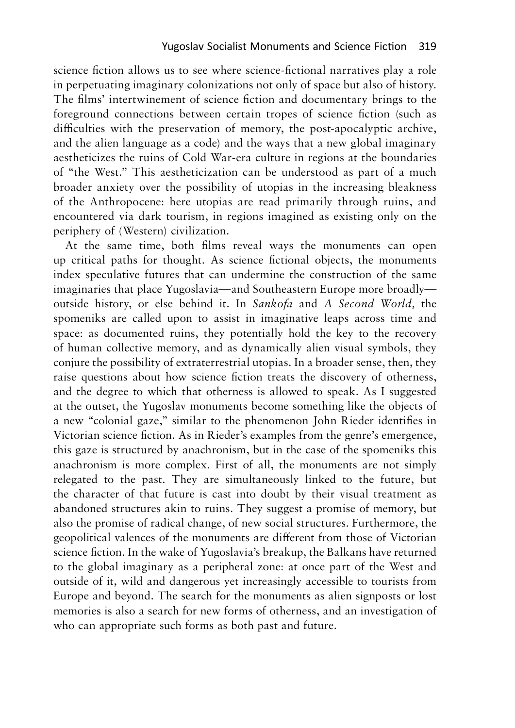science fiction allows us to see where science-fictional narratives play a role science fiction allows us to see where science-fictional narratives play a role in perpetuating imaginary colonizations not only of space but also of history. in perpetuating imaginary colonizations not only of space but also of history. The films' intertwinement of science fiction and documentary brings to the The films' intertwinement of science fiction and documentary brings to the foreground connections between certain tropes of science fiction (such as foreground connections between certain tropes of science fiction (such as difficulties with the preservation of memory, the post-apocalyptic archive, difficulties with the preservation of memory, the post-apocalyptic archive, and the alien language as a code) and the ways that a new global imaginary and the alien language as a code) and the ways that a new global imaginary aestheticizes the ruins of Cold War-era culture in regions at the boundaries aestheticizes the ruins of Cold War-era culture in regions at the boundaries of "the West." This aestheticization can be understood as part of a much broader anxiety over the possibility of utopias in the increasing bleakness broader anxiety over the possibility of utopias in the increasing bleakness of the Anthropocene: here utopias are read primarily through ruins, and encountered via dark tourism, in regions imagined as existing only on the encountered via dark tourism, in regions imagined as existing only on the periphery of (Western) civilization. periphery of (Western) civilization.

At the same time, both films reveal ways the monuments can open At the same time, both films reveal ways the monuments can open up critical paths for thought. As science fictional objects, the monuments up critical paths for thought. As science fictional objects, the monuments index speculative futures that can undermine the construction of the same index speculative futures that can undermine the construction of the same imaginaries that place Yugoslavia—and Southeastern Europe more broadly— imaginaries that place Yugoslavia—and Southeastern Europe more broadly outside history, or else behind it. In *Sankofa* and A *Second World,* the outside history, or else behind it. In *Sankofa* and *A Second World,* the spomeniks are called upon to assist in imaginative leaps across time and space: as documented ruins, they potentially hold the key to the recovery spomeniks are called upon to assist in imaginative leaps across time and<br>space: as documented ruins, they potentially hold the key to the recovery<br>of human collective memory, and as dynamically alien visual symbols, they conjure the possibility of extraterrestrial utopias. In a broader sense, then, they conjure the possibility of extraterrestrial utopias. In a broader sense, then, they raise questions about how science fiction treats the discovery of otherness, and the degree to which that otherness is allowed to speak. As I suggested and the degree to which that otherness is allowed to speak. As I suggested at the outset, the Yugoslav monuments become something like the objects of at the outset, the Yugoslav monuments become something like the objects of<br>a new "colonial gaze," similar to the phenomenon John Rieder identifies in Victorian science fiction. As in Rieder's examples from the genre's emergence, Victorian science fiction. As in Rieder's examples from the genre's emergence, this gaze is structured by anachronism, but in the case of the spomeniks this<br>anachronism is more complex. First of all, the monuments are not simply anachronism is more complex. First of all, the monuments are not simply relegated to the past. They are simultaneously linked to the future, but relegated to the past. They are simultaneously linked to the future, but the character of that future is cast into doubt by their visual treatment as the character of that future is cast into doubt by their visual treatment as abandoned structures akin to ruins. They suggest a promise of memory, but abandoned structures akin to ruins. They suggest a promise of memory, but also the promise of radical change, of new social structures. Furthermore, the geopolitical valences of the monuments are different from those of Victorian geopolitical valences of the monuments are different from those of Victorian science fiction. In the wake of Yugoslavia's breakup, the Balkans have returned to the global imaginary as a peripheral zone: at once part of the West and outside of it, wild and dangerous yet increasingly accessible to tourists from Europe and beyond. The search for the monuments as alien signposts or lost Europe and beyond. The search for the monuments as alien signposts or lost memories is also a search for new forms of otherness, and an investigation of memories is also a search for new forms of otherness, and an investigation of who can appropriate such forms as both past and future.who can appropriate such forms as both past and future. science fiction. In the wake of Yugoslavia's breakup, the Balkans have returned<br>to the global imaginary as a peripheral zone: at once part of the West and<br>outside of it, wild and dangerous yet increasingly accessible to to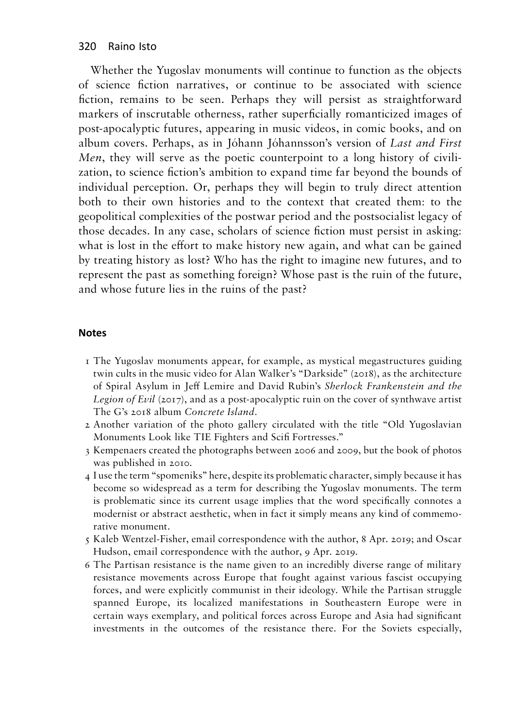Whether the Yugoslav monuments will continue to function as the objects of science fiction narratives, or continue to be associated with science fiction, remains to be seen. Perhaps they will persist as straightforward markers of inscrutable otherness, rather superficially romanticized images of post-apocalyptic futures, appearing in music videos, in comic books, and on album covers. Perhaps, as in Jóhann Jóhannsson's version of *Last and First Men*, they will serve as the poetic counterpoint to a long history of civilization, to science fiction's ambition to expand time far beyond the bounds of individual perception. Or, perhaps they will begin to truly direct attention both to their own histories and to the context that created them: to the geopolitical complexities of the postwar period and the postsocialist legacy of those decades. In any case, scholars of science fiction must persist in asking: what is lost in the effort to make history new again, and what can be gained by treating history as lost? Who has the right to imagine new futures, and to represent the past as something foreign? Whose past is the ruin of the future, and whose future lies in the ruins of the past?

#### **Notes**

- 1 The Yugoslav monuments appear, for example, as mystical megastructures guiding twin cults in the music video for Alan Walker's "Darkside" (2018), as the architecture of Spiral Asylum in Jeff Lemire and David Rubín's *Sherlock Frankenstein and the Legion of Evil* (2017), and as a post-apocalyptic ruin on the cover of synthwave artist The G's 2018 album *Concrete Island.*
- 2 Another variation of the photo gallery circulated with the title "Old Yugoslavian Monuments Look like TIE Fighters and Scifi Fortresses."
- 3 Kempenaers created the photographs between 2006 and 2009, but the book of photos was published in 2010.
- 4 I use the term "spomeniks" here, despite its problematic character, simply because it has become so widespread as a term for describing the Yugoslav monuments. The term is problematic since its current usage implies that the word specifically connotes a modernist or abstract aesthetic, when in fact it simply means any kind of commemorative monument.
- 5 Kaleb Wentzel-Fisher, email correspondence with the author, 8 Apr. 2019; and Oscar Hudson, email correspondence with the author, 9 Apr. 2019.
- 6 The Partisan resistance is the name given to an incredibly diverse range of military resistance movements across Europe that fought against various fascist occupying forces, and were explicitly communist in their ideology. While the Partisan struggle spanned Europe, its localized manifestations in Southeastern Europe were in certain ways exemplary, and political forces across Europe and Asia had significant investments in the outcomes of the resistance there. For the Soviets especially,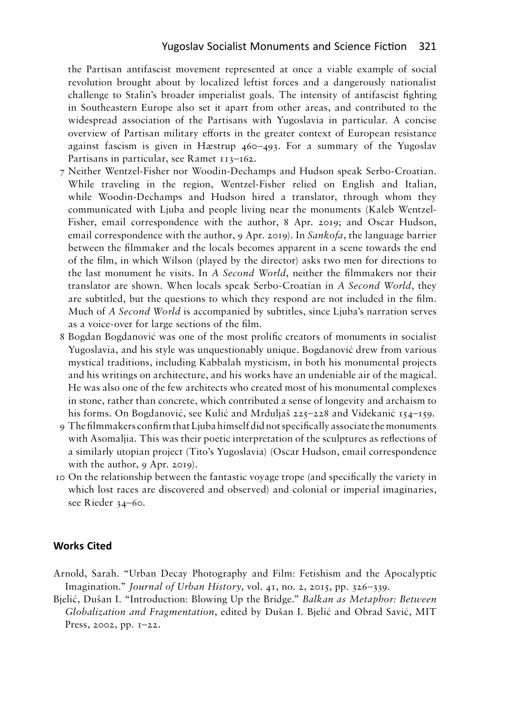the Partisan antifascist movement represented at once a viable example of social revolution brought about by localized leftist forces and a dangerously nationalist challenge to Stalin's broader imperialist goals. The intensity of antifascist fighting in Southeastern Europe also set it apart from other areas, and contributed to the widespread association of the Partisans with Yugoslavia in particular. A concise overview of Partisan military efforts in the greater context of European resistance against fascism is given in Hæstrup 460–493. For a summary of the Yugoslav Partisans in particular, see Ramet 113-162.

- 7 Neither Wentzel-Fisher nor Woodin-Dechamps and Hudson speak Serbo-Croatian. While traveling in the region, Wentzel-Fisher relied on English and Italian, while Woodin-Dechamps and Hudson hired a translator, through whom they communicated with Ljuba and people living near the monuments (Kaleb Wentzel-Fisher, email correspondence with the author, 8 Apr. 2019; and Oscar Hudson, email correspondence with the author, 9 Apr. 2019). In *Sankofa*, the language barrier between the filmmaker and the locals becomes apparent in a scene towards the end of the film, in which Wilson (played by the director) asks two men for directions to the last monument he visits. In *A Second World*, neither the filmmakers nor their translator are shown. When locals speak Serbo-Croatian in *A Second World*, they are subtitled, but the questions to which they respond are not included in the film. Much of *A Second World* is accompanied by subtitles, since Ljuba's narration serves as a voice-over for large sections of the film.
- 8 Bogdan Bogdanović was one of the most prolific creators of monuments in socialist Yugoslavia, and his style was unquestionably unique. Bogdanović drew from various mystical traditions, including Kabbalah mysticism, in both his monumental projects and his writings on architecture, and his works have an undeniable air of the magical. He was also one of the few architects who created most of his monumental complexes in stone, rather than concrete, which contributed a sense of longevity and archaism to his forms. On Bogdanović, see Kulić and Mrduljaš 225–228 and Videkanić 154–159.
- 9 The filmmakers confirm that Ljuba himself did not specifically associate the monuments with Asomaljia. This was their poetic interpretation of the sculptures as reflections of a similarly utopian project (Tito's Yugoslavia) (Oscar Hudson, email correspondence with the author, 9 Apr. 2019).
- 10 On the relationship between the fantastic voyage trope (and specifically the variety in which lost races are discovered and observed) and colonial or imperial imaginaries, see Rieder 34–60.

#### **Works Cited**

- Arnold, Sarah. "Urban Decay Photography and Film: Fetishism and the Apocalyptic Imagination." *Journal of Urban History*, vol. 41, no. 2, 2015, pp. 326–339.
- Bjelić, Dušan I. "Introduction: Blowing Up the Bridge." *Balkan as Metaphor: Between Globalization and Fragmentation*, edited by Dušan I. Bjelić and Obrad Savić, MIT Press, 2002, pp. 1–22.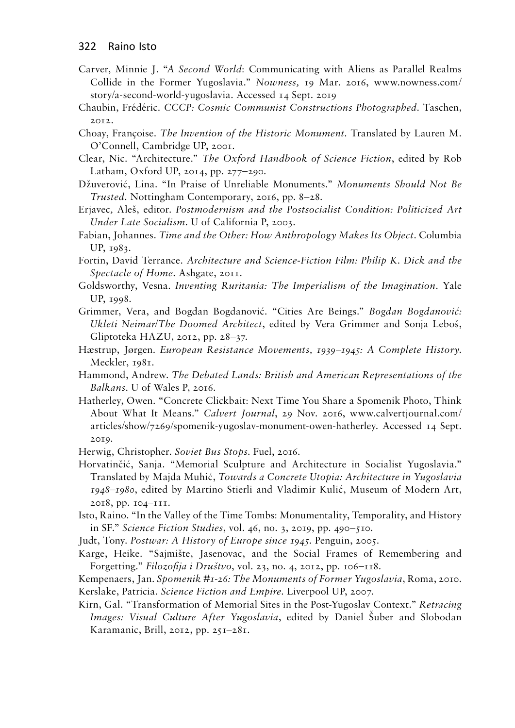- Carver, Minnie J. "*A Second World*: Communicating with Aliens as Parallel Realms Collide in the Former Yugoslavia." *Nowness,* 19 Mar. 2016, www.nowness.com/ story/a-second-world-yugoslavia. Accessed 14 Sept. 2019
- Chaubin, Frédéric. *CCCP: Cosmic Communist Constructions Photographed*. Taschen, 2012.
- Choay, Françoise. *The Invention of the Historic Monument*. Translated by Lauren M. O'Connell, Cambridge UP, 2001.
- Clear, Nic. "Architecture." *The Oxford Handbook of Science Fiction*, edited by Rob Latham, Oxford UP, 2014, pp. 277–290.
- Džuverović, Lina. "In Praise of Unreliable Monuments." *Monuments Should Not Be Trusted*. Nottingham Contemporary, 2016, pp. 8–28.
- Erjavec*,* Aleš, editor. *Postmodernism and the Postsocialist Condition: Politicized Art Under Late Socialism*. U of California P, 2003.
- Fabian, Johannes. *Time and the Other: How Anthropology Makes Its Object.* Columbia UP, 1983.
- Fortin, David Terrance. *Architecture and Science-Fiction Film: Philip K. Dick and the Spectacle of Home*. Ashgate, 2011.
- Goldsworthy, Vesna. *Inventing Ruritania: The Imperialism of the Imagination.* Yale UP, 1998.
- Grimmer, Vera, and Bogdan Bogdanović. "Cities Are Beings." *Bogdan Bogdanović: Ukleti Neimar/The Doomed Architect*, edited by Vera Grimmer and Sonja Leboš, Gliptoteka HAZU, 2012, pp. 28–37.
- Hæstrup, Jørgen. *European Resistance Movements, 1939–1945: A Complete History*. Meckler, 1981.
- Hammond, Andrew. *The Debated Lands: British and American Representations of the Balkans*. U of Wales P, 2016.
- Hatherley, Owen. "Concrete Clickbait: Next Time You Share a Spomenik Photo, Think About What It Means." *Calvert Journal*, 29 Nov. 2016, www.calvertjournal.com/ articles/show/7269/spomenik-yugoslav-monument-owen-hatherley. Accessed 14 Sept. 2019.
- Herwig, Christopher. *Soviet Bus Stops*. Fuel, 2016.
- Horvatinčić, Sanja. "Memorial Sculpture and Architecture in Socialist Yugoslavia." Translated by Majda Muhić, *Towards a Concrete Utopia: Architecture in Yugoslavia 1948–1980*, edited by Martino Stierli and Vladimir Kulić, Museum of Modern Art, 2018, pp. 104–111.
- Isto, Raino. "In the Valley of the Time Tombs: Monumentality, Temporality, and History in SF." *Science Fiction Studies*, vol. 46, no. 3, 2019, pp. 490–510.
- Judt, Tony. *Postwar: A History of Europe since 1945*. Penguin, 2005.
- Karge, Heike. "Sajmište, Jasenovac, and the Social Frames of Remembering and Forgetting." *Filozofija i Društvo*, vol. 23, no. 4, 2012, pp. 106–118.
- Kempenaers, Jan. *Spomenik #1-26: The Monuments of Former Yugoslavia*, Roma, 2010. Kerslake, Patricia. *Science Fiction and Empire*. Liverpool UP, 2007.
- Kirn, Gal. "Transformation of Memorial Sites in the Post-Yugoslav Context." *Retracing Images: Visual Culture After Yugoslavia*, edited by Daniel Šuber and Slobodan Karamanic, Brill, 2012, pp. 251–281.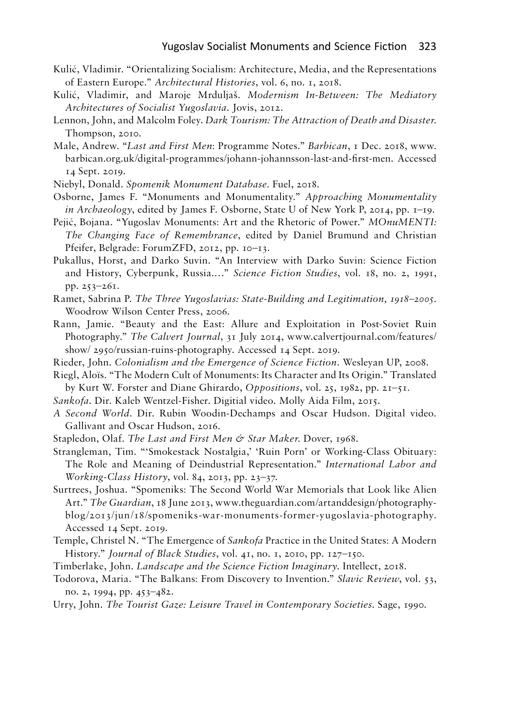- Kulic, Vladimir. "Orientalizing Socialism: Architecture, Media, and the Representations Kulić, Vladimir. "Orientalizing Socialism: Architecture, Media, and the Representations of Eastern Europe." *Architectural Histories,* vol. 6, no. 1, 2018. of Eastern Europe." *Architectural Histories*, vol. 6, no. 1, 2018.
- Kulic, Vladimir, and Maroje Mrduljas. *Modernism In-Between: The Mediatory* Kulić, Vladimir, and Maroje Mrduljaš. *Modernism In-Between: The Mediatory Architectures ofSocialist Yugoslavia.* Jovis, 2012. *Architectures of Socialist Yugoslavia*. Jovis, 2012.
- Lennon, John, and Malcolm Foley. Dark Tourism: The Attraction of Death and Disaster.<br>Thompson, 2010. Thompson, 2010.
- Male, Andrew. *"Last and First Men:* Programme Notes." *Barbican,* <sup>1</sup> Dec. 2018, www. Male, Andrew. "*Last and First Men*: Programme Notes." *Barbican*, 1 Dec. 2018, www. barbican.org.uk/digital-programmes/johann-johannsson-last-and-first-men. Accessed barbican.org.uk/digital-programmes/johann-johannsson-last-and-first-men. Accessed 14 Sept. 2019. 14 Sept. 2019.
- Niebyl, Donald. *Spomenik Monument Database.* Fuel, 2018. Niebyl, Donald. *Spomenik Monument Database*. Fuel, 2018.
- Osborne, James F. "Monuments and Monumentality." *Approaching Monumentality* Osborne, James F. "Monuments and Monumentality." *Approaching Monumentality in Archaeology,* edited by James F. Osborne, State U of New York P, 2014, pp. 1-19. *in Archaeology*, edited by James F. Osborne, State U of New York P, 2014, pp. 1–19.
- Pejic, Bojana. "Yugoslav Monuments: Art and the Rhetoric of Power." *MOnuMENTI:* Pejić, Bojana. "Yugoslav Monuments: Art and the Rhetoric of Power." *MOnuMENTI: The Changing Face of Remembrance*, edited by Daniel Brumund and Christian *The Changing Face of Remembrance*, edited by Daniel Brumund and Christian Pfeifer, Belgrade: ForumZFD, 2012, pp. 10-13. Pfeifer, Belgrade: ForumZFD, 2012, pp. 10–13.
- Pukallus, Horst, and Darko Suvin. "An Interview with Darko Suvin: Science Fiction Pukallus, Horst, and Darko Suvin. "An Interview with Darko Suvin: Science Fiction and History, Cyberpunk, Russia...." *Science Fiction Studies*, vol. 18, no. 2, 1991, pp. 253–261. pp. 253-261.
- Ramet, Sabrina P. The Three Yugoslavias: State-Building and Legitimation, 1918–2005. Woodrow Wilson Center Press, 2006. Woodrow Wilson Center Press, 2006.
- Rann, Jamie. "Beauty and the East: Allure and Exploitation in Post-Soviet Ruin Rann, Jamie. "Beauty and the East: Allure and Exploitation in Post-Soviet Ruin Photography." *The Calvert Journal,* <sup>31</sup> July 2014, www.calvertjournal.com/features/ Photography." *The Calvert Journal*, 31 July 2014, www.calvertjournal.com/features/ show/ 2950/russian-ruins-photography. Accessed 14 Sept. 2019. show/ 2950/russian-ruins-photography. Accessed 14 Sept. 2019.
- Rieder, John. *Colonialism and the Emergence ofScience Fiction.* Wesleyan UP, 2008. Rieder, John. *Colonialism and the Emergence of Science Fiction*. Wesleyan UP, 2008.
- Riegl, Alois. "The Modern Cult of Monuments: Its Character and Its Origin." Translated Riegl, Aloïs. "The Modern Cult of Monuments: Its Character and Its Origin." Translated by Kurt W. Forster and Diane Ghirardo, *Oppositions,* vol. 25, 1982, pp. 21-51. by Kurt W. Forster and Diane Ghirardo, *Oppositions*, vol. 25, 1982, pp. 21–51.
- *Sankofa.* Dir. Kaleb Wentzel-Fisher. Digitial video. Molly Aida Film, 2015. *Sankofa*. Dir. Kaleb Wentzel-Fisher. Digitial video. Molly Aida Film, 2015.
- A *Second World.* Dir. Rubin Woodin-Dechamps and Oscar Hudson. Digital video. *A Second World*. Dir. Rubin Woodin-Dechamps and Oscar Hudson. Digital video. Gallivant and Oscar Hudson, 2016. Gallivant and Oscar Hudson, 2016.
- Stapledon, Olaf. *The Last and First Men & Star Maker.* Dover, 1968. Stapledon, Olaf. *The Last and First Men & Star Maker*. Dover, 1968.
- Strangleman, Tim. "'Smokestack Nostalgia,' 'Ruin Porn' or Working-Class Obituary: Strangleman, Tim. "'Smokestack Nostalgia,' 'Ruin Porn' or Working-Class Obituary: The Role and Meaning of Deindustrial Representation." *International Labor and* The Role and Meaning of Deindustrial Representation." *International Labor and Working-Class History,* vol. 84, 2013, pp. 23-37. *Working-Class History*, vol. 84, 2013, pp. 23–37.
- Surtrees, Joshua. "Spomeniks: The Second World War Memorials that Look like Alien Surtrees, Joshua. "Spomeniks: The Second World War Memorials that Look like Alien Art." *The Guardian,* <sup>18</sup> June 2013, www.theguardian.com/artanddesign/photography-Art." *The Guardian*, 18 June 2013, www.theguardian.com/artanddesign/photographyblog/20i3/jun/i8/spomeniks-war-monuments-former-yugoslavia-photography. blog/2013/jun/18/spomeniks-war-monuments-former-yugoslavia-photography. Accessed 14 Sept. 2019. Accessed 14 Sept. 2019.
- Temple, Christel N. "The Emergence of *Sankofa* Practice in the United States: A Modern Temple, Christel N. "The Emergence of *Sankofa* Practice in the United States: A Modern History." *Journal ofBlack Studies,* vol. 41, no. 1, 2010, pp. 127-150. History." *Journal of Black Studies*, vol. 41, no. 1, 2010, pp. 127–150.
- Timberlake, John. *Landscape and the Science Fiction Imaginary*. Intellect, 20i8. Timberlake, John. *Landscape and the Science Fiction Imaginary*. Intellect, 2018.
- Todorova, Maria. "The Balkans: From Discovery to Invention." *Slavic Review,* vol. 53, Todorova, Maria. "The Balkans: From Discovery to Invention." *Slavic Review*, vol. 53, no. 2, 1994, pp. 453–482. no. 2, 1994, pp. 453-482.
- Urry, John. The Tourist Gaze: Leisure Travel in Contemporary Societies. Sage, 1990.